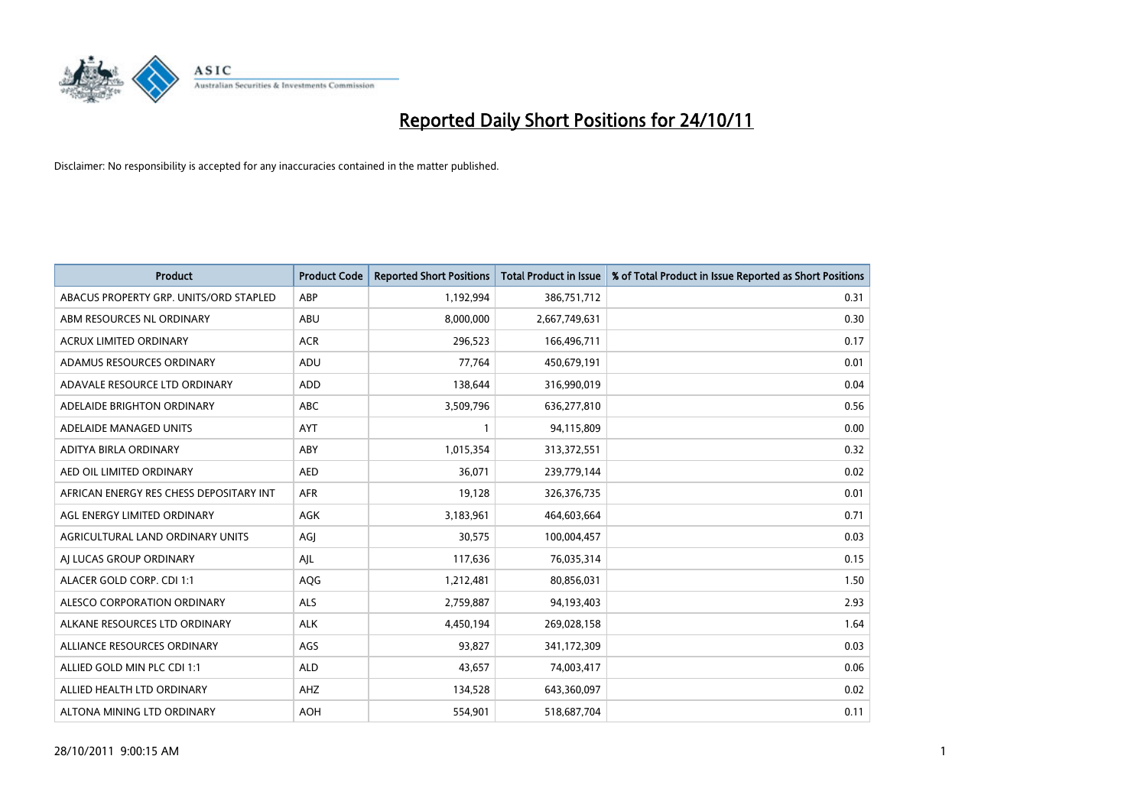

| <b>Product</b>                          | <b>Product Code</b> | <b>Reported Short Positions</b> | Total Product in Issue | % of Total Product in Issue Reported as Short Positions |
|-----------------------------------------|---------------------|---------------------------------|------------------------|---------------------------------------------------------|
| ABACUS PROPERTY GRP. UNITS/ORD STAPLED  | ABP                 | 1,192,994                       | 386,751,712            | 0.31                                                    |
| ABM RESOURCES NL ORDINARY               | ABU                 | 8,000,000                       | 2,667,749,631          | 0.30                                                    |
| <b>ACRUX LIMITED ORDINARY</b>           | <b>ACR</b>          | 296,523                         | 166,496,711            | 0.17                                                    |
| ADAMUS RESOURCES ORDINARY               | ADU                 | 77,764                          | 450,679,191            | 0.01                                                    |
| ADAVALE RESOURCE LTD ORDINARY           | ADD                 | 138,644                         | 316,990,019            | 0.04                                                    |
| ADELAIDE BRIGHTON ORDINARY              | <b>ABC</b>          | 3,509,796                       | 636,277,810            | 0.56                                                    |
| ADELAIDE MANAGED UNITS                  | <b>AYT</b>          |                                 | 94,115,809             | 0.00                                                    |
| <b>ADITYA BIRLA ORDINARY</b>            | ABY                 | 1,015,354                       | 313,372,551            | 0.32                                                    |
| AED OIL LIMITED ORDINARY                | <b>AED</b>          | 36.071                          | 239,779,144            | 0.02                                                    |
| AFRICAN ENERGY RES CHESS DEPOSITARY INT | <b>AFR</b>          | 19,128                          | 326, 376, 735          | 0.01                                                    |
| AGL ENERGY LIMITED ORDINARY             | <b>AGK</b>          | 3,183,961                       | 464,603,664            | 0.71                                                    |
| AGRICULTURAL LAND ORDINARY UNITS        | AGJ                 | 30,575                          | 100,004,457            | 0.03                                                    |
| AJ LUCAS GROUP ORDINARY                 | AIL                 | 117,636                         | 76,035,314             | 0.15                                                    |
| ALACER GOLD CORP. CDI 1:1               | AQG                 | 1,212,481                       | 80,856,031             | 1.50                                                    |
| ALESCO CORPORATION ORDINARY             | <b>ALS</b>          | 2,759,887                       | 94,193,403             | 2.93                                                    |
| ALKANE RESOURCES LTD ORDINARY           | <b>ALK</b>          | 4,450,194                       | 269,028,158            | 1.64                                                    |
| ALLIANCE RESOURCES ORDINARY             | AGS                 | 93,827                          | 341,172,309            | 0.03                                                    |
| ALLIED GOLD MIN PLC CDI 1:1             | <b>ALD</b>          | 43,657                          | 74,003,417             | 0.06                                                    |
| ALLIED HEALTH LTD ORDINARY              | AHZ                 | 134,528                         | 643,360,097            | 0.02                                                    |
| ALTONA MINING LTD ORDINARY              | <b>AOH</b>          | 554,901                         | 518,687,704            | 0.11                                                    |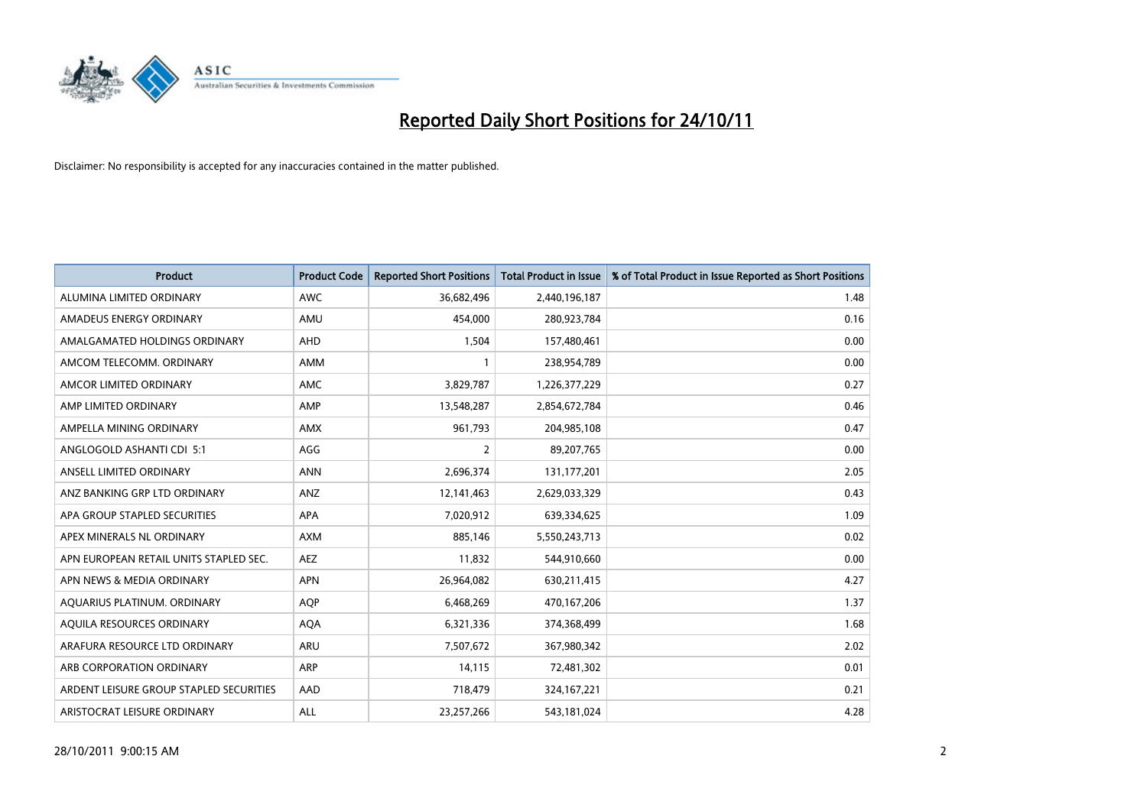

| <b>Product</b>                          | <b>Product Code</b> | <b>Reported Short Positions</b> | <b>Total Product in Issue</b> | % of Total Product in Issue Reported as Short Positions |
|-----------------------------------------|---------------------|---------------------------------|-------------------------------|---------------------------------------------------------|
| ALUMINA LIMITED ORDINARY                | <b>AWC</b>          | 36,682,496                      | 2,440,196,187                 | 1.48                                                    |
| AMADEUS ENERGY ORDINARY                 | AMU                 | 454,000                         | 280,923,784                   | 0.16                                                    |
| AMALGAMATED HOLDINGS ORDINARY           | <b>AHD</b>          | 1,504                           | 157,480,461                   | 0.00                                                    |
| AMCOM TELECOMM. ORDINARY                | <b>AMM</b>          |                                 | 238,954,789                   | 0.00                                                    |
| AMCOR LIMITED ORDINARY                  | <b>AMC</b>          | 3,829,787                       | 1,226,377,229                 | 0.27                                                    |
| AMP LIMITED ORDINARY                    | AMP                 | 13,548,287                      | 2,854,672,784                 | 0.46                                                    |
| AMPELLA MINING ORDINARY                 | <b>AMX</b>          | 961.793                         | 204,985,108                   | 0.47                                                    |
| ANGLOGOLD ASHANTI CDI 5:1               | AGG                 | 2                               | 89,207,765                    | 0.00                                                    |
| ANSELL LIMITED ORDINARY                 | <b>ANN</b>          | 2,696,374                       | 131,177,201                   | 2.05                                                    |
| ANZ BANKING GRP LTD ORDINARY            | ANZ                 | 12,141,463                      | 2,629,033,329                 | 0.43                                                    |
| APA GROUP STAPLED SECURITIES            | <b>APA</b>          | 7,020,912                       | 639,334,625                   | 1.09                                                    |
| APEX MINERALS NL ORDINARY               | <b>AXM</b>          | 885.146                         | 5,550,243,713                 | 0.02                                                    |
| APN EUROPEAN RETAIL UNITS STAPLED SEC.  | <b>AEZ</b>          | 11,832                          | 544,910,660                   | 0.00                                                    |
| APN NEWS & MEDIA ORDINARY               | <b>APN</b>          | 26,964,082                      | 630,211,415                   | 4.27                                                    |
| AQUARIUS PLATINUM. ORDINARY             | <b>AOP</b>          | 6,468,269                       | 470,167,206                   | 1.37                                                    |
| AQUILA RESOURCES ORDINARY               | <b>AQA</b>          | 6,321,336                       | 374,368,499                   | 1.68                                                    |
| ARAFURA RESOURCE LTD ORDINARY           | <b>ARU</b>          | 7,507,672                       | 367,980,342                   | 2.02                                                    |
| ARB CORPORATION ORDINARY                | <b>ARP</b>          | 14,115                          | 72,481,302                    | 0.01                                                    |
| ARDENT LEISURE GROUP STAPLED SECURITIES | AAD                 | 718,479                         | 324, 167, 221                 | 0.21                                                    |
| ARISTOCRAT LEISURE ORDINARY             | <b>ALL</b>          | 23,257,266                      | 543,181,024                   | 4.28                                                    |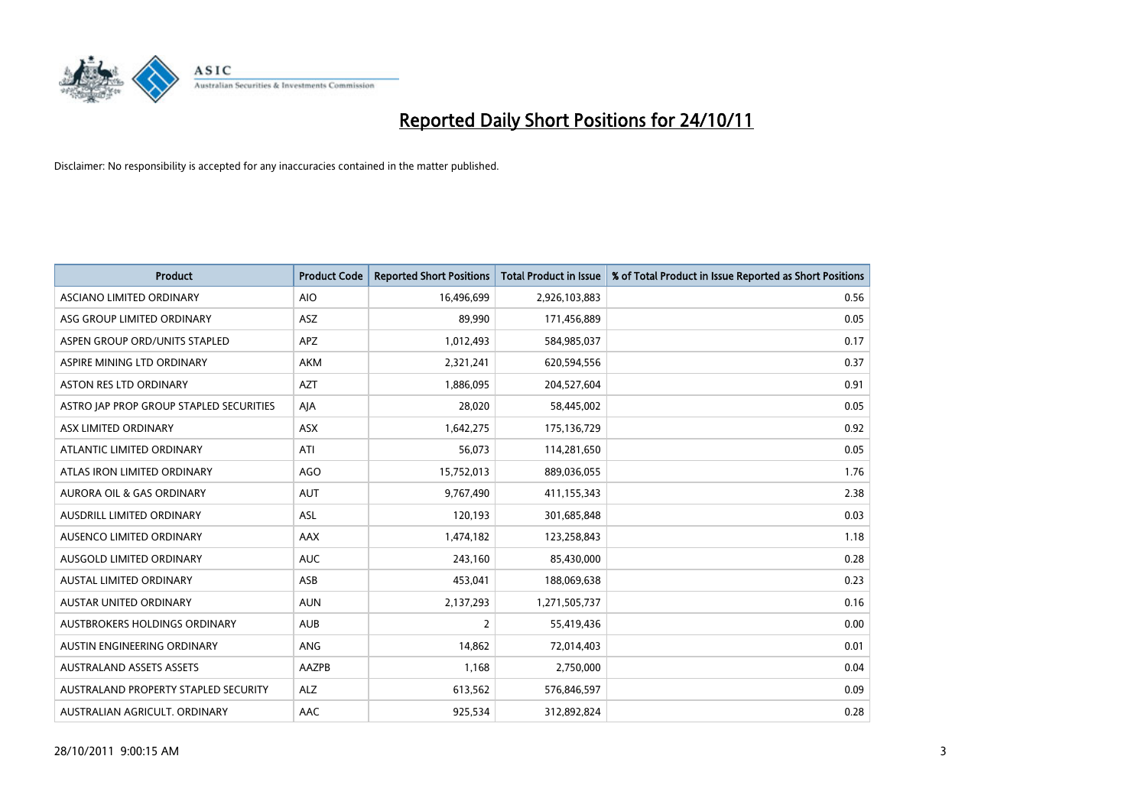

| <b>Product</b>                          | <b>Product Code</b> | <b>Reported Short Positions</b> | <b>Total Product in Issue</b> | % of Total Product in Issue Reported as Short Positions |
|-----------------------------------------|---------------------|---------------------------------|-------------------------------|---------------------------------------------------------|
| ASCIANO LIMITED ORDINARY                | <b>AIO</b>          | 16,496,699                      | 2,926,103,883                 | 0.56                                                    |
| ASG GROUP LIMITED ORDINARY              | <b>ASZ</b>          | 89,990                          | 171,456,889                   | 0.05                                                    |
| ASPEN GROUP ORD/UNITS STAPLED           | <b>APZ</b>          | 1,012,493                       | 584,985,037                   | 0.17                                                    |
| ASPIRE MINING LTD ORDINARY              | <b>AKM</b>          | 2,321,241                       | 620,594,556                   | 0.37                                                    |
| <b>ASTON RES LTD ORDINARY</b>           | <b>AZT</b>          | 1,886,095                       | 204,527,604                   | 0.91                                                    |
| ASTRO JAP PROP GROUP STAPLED SECURITIES | AIA                 | 28,020                          | 58,445,002                    | 0.05                                                    |
| ASX LIMITED ORDINARY                    | <b>ASX</b>          | 1,642,275                       | 175,136,729                   | 0.92                                                    |
| ATLANTIC LIMITED ORDINARY               | ATI                 | 56,073                          | 114,281,650                   | 0.05                                                    |
| ATLAS IRON LIMITED ORDINARY             | AGO                 | 15,752,013                      | 889,036,055                   | 1.76                                                    |
| <b>AURORA OIL &amp; GAS ORDINARY</b>    | <b>AUT</b>          | 9,767,490                       | 411,155,343                   | 2.38                                                    |
| AUSDRILL LIMITED ORDINARY               | ASL                 | 120,193                         | 301,685,848                   | 0.03                                                    |
| AUSENCO LIMITED ORDINARY                | AAX                 | 1,474,182                       | 123,258,843                   | 1.18                                                    |
| AUSGOLD LIMITED ORDINARY                | <b>AUC</b>          | 243,160                         | 85,430,000                    | 0.28                                                    |
| <b>AUSTAL LIMITED ORDINARY</b>          | ASB                 | 453,041                         | 188,069,638                   | 0.23                                                    |
| <b>AUSTAR UNITED ORDINARY</b>           | <b>AUN</b>          | 2,137,293                       | 1,271,505,737                 | 0.16                                                    |
| AUSTBROKERS HOLDINGS ORDINARY           | <b>AUB</b>          | $\overline{2}$                  | 55,419,436                    | 0.00                                                    |
| AUSTIN ENGINEERING ORDINARY             | ANG                 | 14,862                          | 72,014,403                    | 0.01                                                    |
| <b>AUSTRALAND ASSETS ASSETS</b>         | AAZPB               | 1,168                           | 2,750,000                     | 0.04                                                    |
| AUSTRALAND PROPERTY STAPLED SECURITY    | <b>ALZ</b>          | 613,562                         | 576,846,597                   | 0.09                                                    |
| AUSTRALIAN AGRICULT. ORDINARY           | AAC                 | 925,534                         | 312,892,824                   | 0.28                                                    |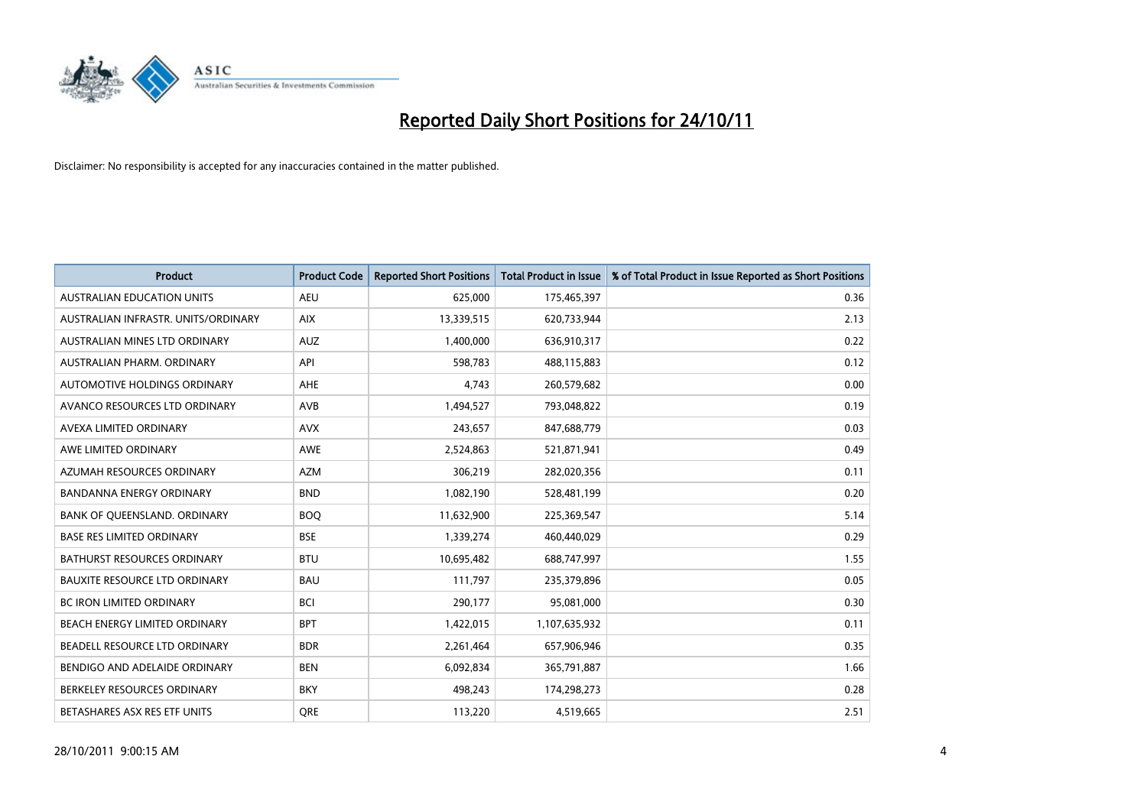

| <b>Product</b>                       | <b>Product Code</b> | <b>Reported Short Positions</b> | <b>Total Product in Issue</b> | % of Total Product in Issue Reported as Short Positions |
|--------------------------------------|---------------------|---------------------------------|-------------------------------|---------------------------------------------------------|
| <b>AUSTRALIAN EDUCATION UNITS</b>    | <b>AEU</b>          | 625,000                         | 175,465,397                   | 0.36                                                    |
| AUSTRALIAN INFRASTR. UNITS/ORDINARY  | <b>AIX</b>          | 13,339,515                      | 620,733,944                   | 2.13                                                    |
| AUSTRALIAN MINES LTD ORDINARY        | <b>AUZ</b>          | 1,400,000                       | 636,910,317                   | 0.22                                                    |
| AUSTRALIAN PHARM. ORDINARY           | API                 | 598,783                         | 488,115,883                   | 0.12                                                    |
| AUTOMOTIVE HOLDINGS ORDINARY         | <b>AHE</b>          | 4.743                           | 260,579,682                   | 0.00                                                    |
| AVANCO RESOURCES LTD ORDINARY        | AVB                 | 1,494,527                       | 793,048,822                   | 0.19                                                    |
| AVEXA LIMITED ORDINARY               | <b>AVX</b>          | 243,657                         | 847,688,779                   | 0.03                                                    |
| AWE LIMITED ORDINARY                 | <b>AWE</b>          | 2,524,863                       | 521,871,941                   | 0.49                                                    |
| AZUMAH RESOURCES ORDINARY            | <b>AZM</b>          | 306,219                         | 282,020,356                   | 0.11                                                    |
| <b>BANDANNA ENERGY ORDINARY</b>      | <b>BND</b>          | 1,082,190                       | 528,481,199                   | 0.20                                                    |
| BANK OF QUEENSLAND. ORDINARY         | <b>BOQ</b>          | 11,632,900                      | 225,369,547                   | 5.14                                                    |
| <b>BASE RES LIMITED ORDINARY</b>     | <b>BSE</b>          | 1,339,274                       | 460,440,029                   | 0.29                                                    |
| <b>BATHURST RESOURCES ORDINARY</b>   | <b>BTU</b>          | 10,695,482                      | 688,747,997                   | 1.55                                                    |
| <b>BAUXITE RESOURCE LTD ORDINARY</b> | <b>BAU</b>          | 111,797                         | 235,379,896                   | 0.05                                                    |
| <b>BC IRON LIMITED ORDINARY</b>      | <b>BCI</b>          | 290,177                         | 95,081,000                    | 0.30                                                    |
| BEACH ENERGY LIMITED ORDINARY        | <b>BPT</b>          | 1,422,015                       | 1,107,635,932                 | 0.11                                                    |
| BEADELL RESOURCE LTD ORDINARY        | <b>BDR</b>          | 2,261,464                       | 657,906,946                   | 0.35                                                    |
| BENDIGO AND ADELAIDE ORDINARY        | <b>BEN</b>          | 6,092,834                       | 365,791,887                   | 1.66                                                    |
| BERKELEY RESOURCES ORDINARY          | <b>BKY</b>          | 498,243                         | 174,298,273                   | 0.28                                                    |
| BETASHARES ASX RES ETF UNITS         | <b>ORE</b>          | 113,220                         | 4,519,665                     | 2.51                                                    |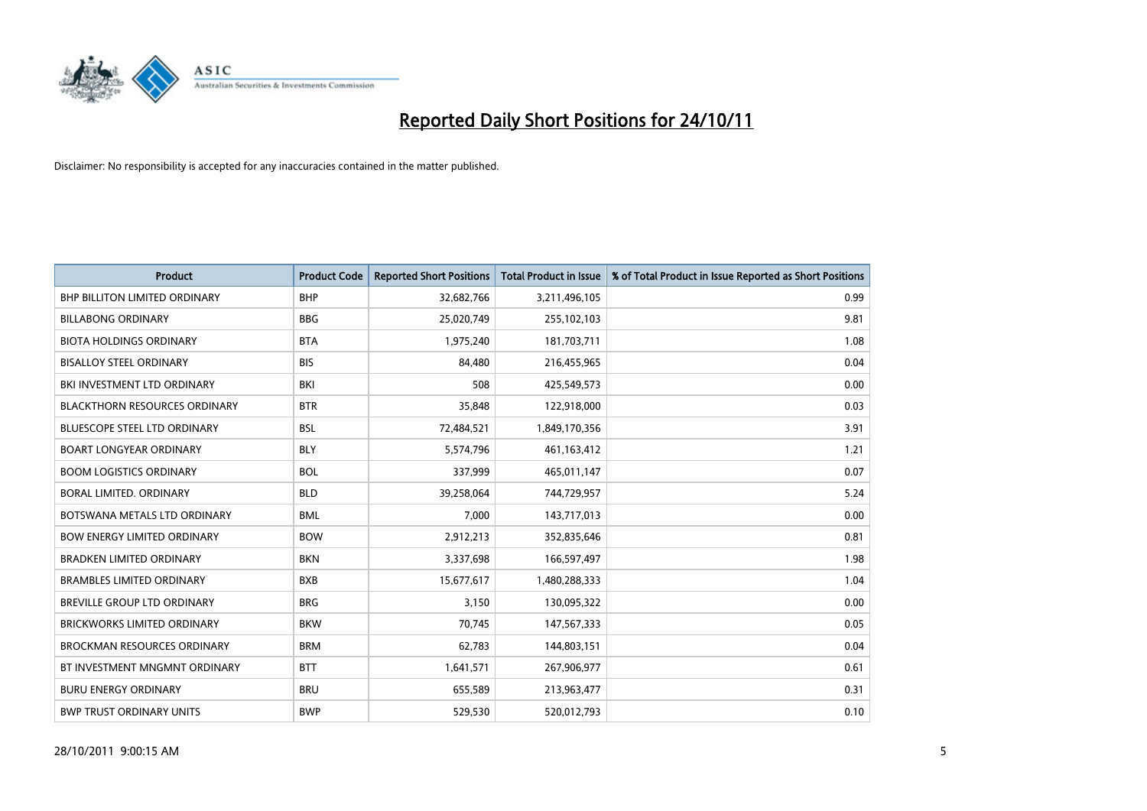

| <b>Product</b>                       | <b>Product Code</b> | <b>Reported Short Positions</b> | <b>Total Product in Issue</b> | % of Total Product in Issue Reported as Short Positions |
|--------------------------------------|---------------------|---------------------------------|-------------------------------|---------------------------------------------------------|
| <b>BHP BILLITON LIMITED ORDINARY</b> | <b>BHP</b>          | 32,682,766                      | 3,211,496,105                 | 0.99                                                    |
| <b>BILLABONG ORDINARY</b>            | <b>BBG</b>          | 25,020,749                      | 255,102,103                   | 9.81                                                    |
| <b>BIOTA HOLDINGS ORDINARY</b>       | <b>BTA</b>          | 1,975,240                       | 181,703,711                   | 1.08                                                    |
| <b>BISALLOY STEEL ORDINARY</b>       | <b>BIS</b>          | 84,480                          | 216,455,965                   | 0.04                                                    |
| BKI INVESTMENT LTD ORDINARY          | BKI                 | 508                             | 425,549,573                   | 0.00                                                    |
| <b>BLACKTHORN RESOURCES ORDINARY</b> | <b>BTR</b>          | 35,848                          | 122,918,000                   | 0.03                                                    |
| <b>BLUESCOPE STEEL LTD ORDINARY</b>  | <b>BSL</b>          | 72,484,521                      | 1,849,170,356                 | 3.91                                                    |
| <b>BOART LONGYEAR ORDINARY</b>       | <b>BLY</b>          | 5,574,796                       | 461,163,412                   | 1.21                                                    |
| <b>BOOM LOGISTICS ORDINARY</b>       | <b>BOL</b>          | 337,999                         | 465,011,147                   | 0.07                                                    |
| BORAL LIMITED, ORDINARY              | <b>BLD</b>          | 39,258,064                      | 744,729,957                   | 5.24                                                    |
| BOTSWANA METALS LTD ORDINARY         | <b>BML</b>          | 7,000                           | 143,717,013                   | 0.00                                                    |
| <b>BOW ENERGY LIMITED ORDINARY</b>   | <b>BOW</b>          | 2,912,213                       | 352,835,646                   | 0.81                                                    |
| BRADKEN LIMITED ORDINARY             | <b>BKN</b>          | 3,337,698                       | 166,597,497                   | 1.98                                                    |
| <b>BRAMBLES LIMITED ORDINARY</b>     | <b>BXB</b>          | 15,677,617                      | 1,480,288,333                 | 1.04                                                    |
| <b>BREVILLE GROUP LTD ORDINARY</b>   | <b>BRG</b>          | 3,150                           | 130,095,322                   | 0.00                                                    |
| BRICKWORKS LIMITED ORDINARY          | <b>BKW</b>          | 70,745                          | 147,567,333                   | 0.05                                                    |
| <b>BROCKMAN RESOURCES ORDINARY</b>   | <b>BRM</b>          | 62,783                          | 144,803,151                   | 0.04                                                    |
| BT INVESTMENT MNGMNT ORDINARY        | <b>BTT</b>          | 1,641,571                       | 267,906,977                   | 0.61                                                    |
| <b>BURU ENERGY ORDINARY</b>          | <b>BRU</b>          | 655,589                         | 213,963,477                   | 0.31                                                    |
| <b>BWP TRUST ORDINARY UNITS</b>      | <b>BWP</b>          | 529,530                         | 520,012,793                   | 0.10                                                    |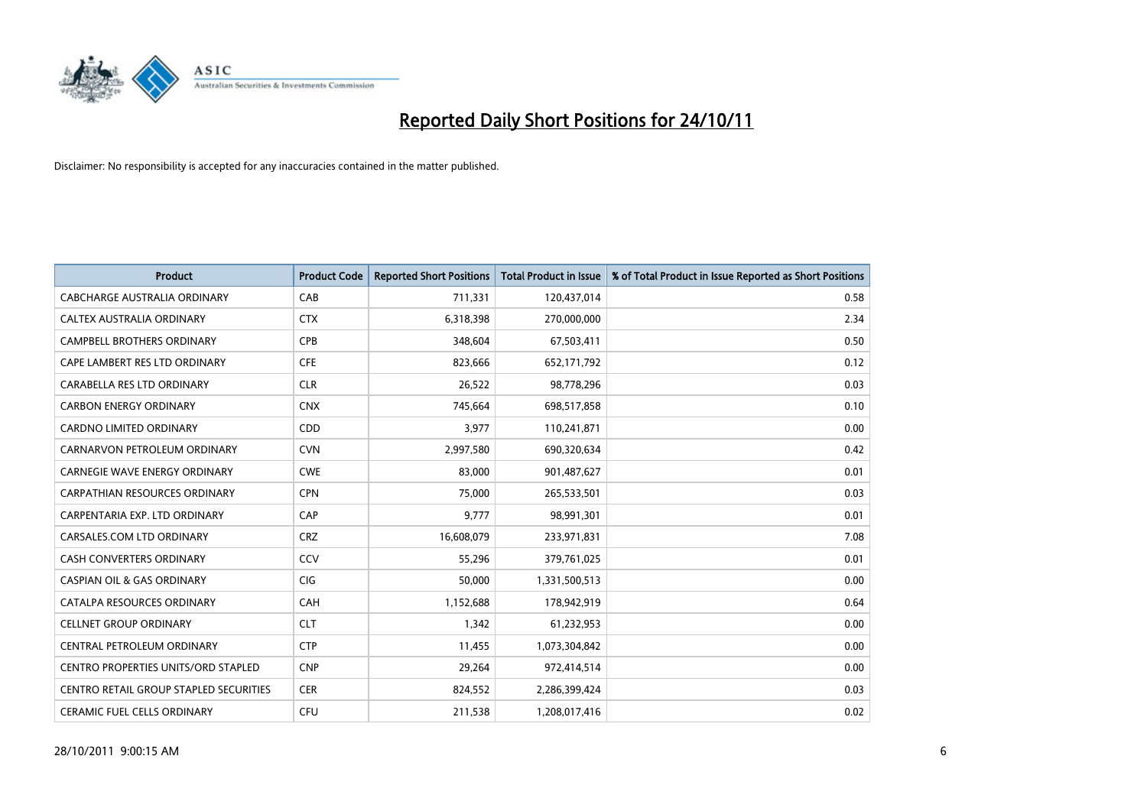

| <b>Product</b>                             | <b>Product Code</b> | <b>Reported Short Positions</b> | <b>Total Product in Issue</b> | % of Total Product in Issue Reported as Short Positions |
|--------------------------------------------|---------------------|---------------------------------|-------------------------------|---------------------------------------------------------|
| <b>CABCHARGE AUSTRALIA ORDINARY</b>        | CAB                 | 711,331                         | 120,437,014                   | 0.58                                                    |
| CALTEX AUSTRALIA ORDINARY                  | <b>CTX</b>          | 6,318,398                       | 270,000,000                   | 2.34                                                    |
| <b>CAMPBELL BROTHERS ORDINARY</b>          | <b>CPB</b>          | 348,604                         | 67,503,411                    | 0.50                                                    |
| CAPE LAMBERT RES LTD ORDINARY              | <b>CFE</b>          | 823,666                         | 652,171,792                   | 0.12                                                    |
| CARABELLA RES LTD ORDINARY                 | <b>CLR</b>          | 26,522                          | 98,778,296                    | 0.03                                                    |
| <b>CARBON ENERGY ORDINARY</b>              | <b>CNX</b>          | 745,664                         | 698,517,858                   | 0.10                                                    |
| <b>CARDNO LIMITED ORDINARY</b>             | CDD                 | 3,977                           | 110,241,871                   | 0.00                                                    |
| CARNARVON PETROLEUM ORDINARY               | <b>CVN</b>          | 2,997,580                       | 690,320,634                   | 0.42                                                    |
| CARNEGIE WAVE ENERGY ORDINARY              | <b>CWE</b>          | 83,000                          | 901,487,627                   | 0.01                                                    |
| <b>CARPATHIAN RESOURCES ORDINARY</b>       | <b>CPN</b>          | 75,000                          | 265,533,501                   | 0.03                                                    |
| CARPENTARIA EXP. LTD ORDINARY              | CAP                 | 9,777                           | 98,991,301                    | 0.01                                                    |
| CARSALES.COM LTD ORDINARY                  | <b>CRZ</b>          | 16,608,079                      | 233,971,831                   | 7.08                                                    |
| <b>CASH CONVERTERS ORDINARY</b>            | CCV                 | 55,296                          | 379,761,025                   | 0.01                                                    |
| <b>CASPIAN OIL &amp; GAS ORDINARY</b>      | <b>CIG</b>          | 50.000                          | 1,331,500,513                 | 0.00                                                    |
| CATALPA RESOURCES ORDINARY                 | <b>CAH</b>          | 1,152,688                       | 178,942,919                   | 0.64                                                    |
| <b>CELLNET GROUP ORDINARY</b>              | <b>CLT</b>          | 1,342                           | 61,232,953                    | 0.00                                                    |
| CENTRAL PETROLEUM ORDINARY                 | <b>CTP</b>          | 11,455                          | 1,073,304,842                 | 0.00                                                    |
| <b>CENTRO PROPERTIES UNITS/ORD STAPLED</b> | <b>CNP</b>          | 29,264                          | 972,414,514                   | 0.00                                                    |
| CENTRO RETAIL GROUP STAPLED SECURITIES     | <b>CER</b>          | 824,552                         | 2,286,399,424                 | 0.03                                                    |
| <b>CERAMIC FUEL CELLS ORDINARY</b>         | <b>CFU</b>          | 211,538                         | 1,208,017,416                 | 0.02                                                    |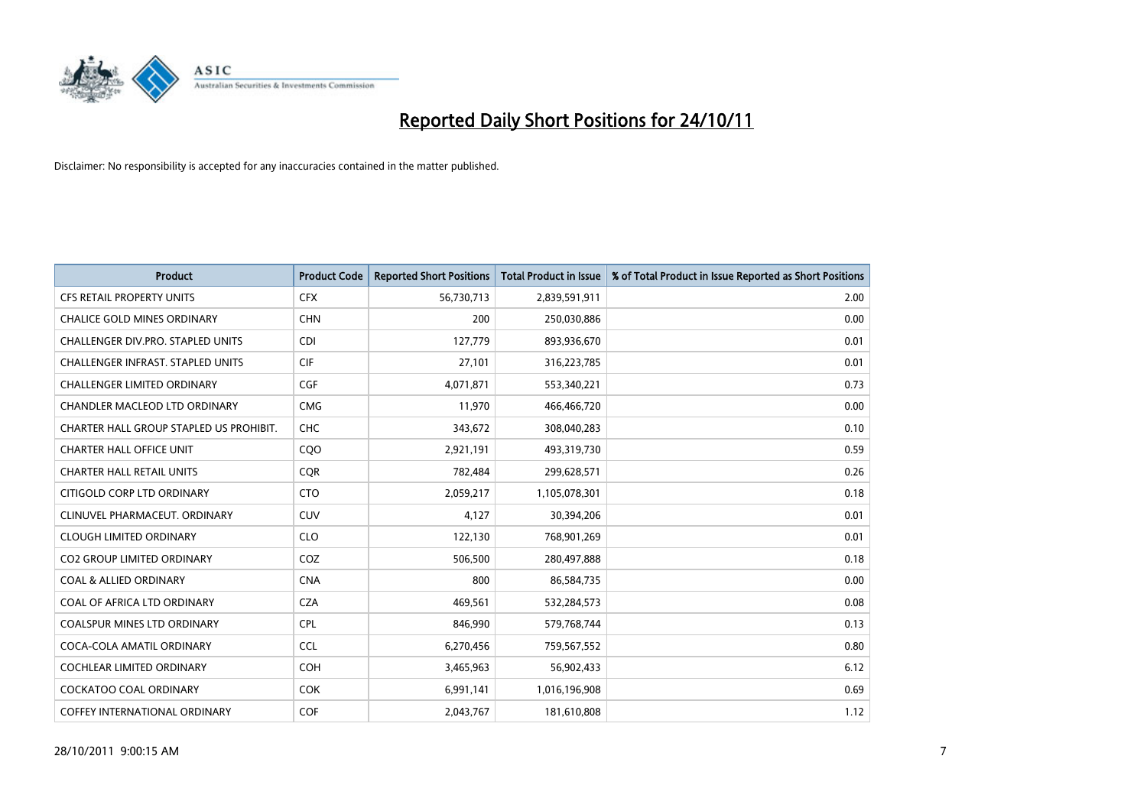

| <b>Product</b>                           | <b>Product Code</b> | <b>Reported Short Positions</b> | <b>Total Product in Issue</b> | % of Total Product in Issue Reported as Short Positions |
|------------------------------------------|---------------------|---------------------------------|-------------------------------|---------------------------------------------------------|
| <b>CFS RETAIL PROPERTY UNITS</b>         | <b>CFX</b>          | 56,730,713                      | 2,839,591,911                 | 2.00                                                    |
| CHALICE GOLD MINES ORDINARY              | <b>CHN</b>          | 200                             | 250,030,886                   | 0.00                                                    |
| CHALLENGER DIV.PRO. STAPLED UNITS        | <b>CDI</b>          | 127,779                         | 893,936,670                   | 0.01                                                    |
| <b>CHALLENGER INFRAST, STAPLED UNITS</b> | <b>CIF</b>          | 27,101                          | 316,223,785                   | 0.01                                                    |
| <b>CHALLENGER LIMITED ORDINARY</b>       | <b>CGF</b>          | 4,071,871                       | 553,340,221                   | 0.73                                                    |
| CHANDLER MACLEOD LTD ORDINARY            | <b>CMG</b>          | 11,970                          | 466,466,720                   | 0.00                                                    |
| CHARTER HALL GROUP STAPLED US PROHIBIT.  | <b>CHC</b>          | 343,672                         | 308,040,283                   | 0.10                                                    |
| <b>CHARTER HALL OFFICE UNIT</b>          | CQO                 | 2,921,191                       | 493,319,730                   | 0.59                                                    |
| <b>CHARTER HALL RETAIL UNITS</b>         | <b>COR</b>          | 782,484                         | 299,628,571                   | 0.26                                                    |
| CITIGOLD CORP LTD ORDINARY               | <b>CTO</b>          | 2,059,217                       | 1,105,078,301                 | 0.18                                                    |
| CLINUVEL PHARMACEUT. ORDINARY            | <b>CUV</b>          | 4,127                           | 30,394,206                    | 0.01                                                    |
| <b>CLOUGH LIMITED ORDINARY</b>           | <b>CLO</b>          | 122,130                         | 768,901,269                   | 0.01                                                    |
| <b>CO2 GROUP LIMITED ORDINARY</b>        | COZ                 | 506,500                         | 280,497,888                   | 0.18                                                    |
| <b>COAL &amp; ALLIED ORDINARY</b>        | <b>CNA</b>          | 800                             | 86,584,735                    | 0.00                                                    |
| COAL OF AFRICA LTD ORDINARY              | <b>CZA</b>          | 469,561                         | 532,284,573                   | 0.08                                                    |
| <b>COALSPUR MINES LTD ORDINARY</b>       | <b>CPL</b>          | 846,990                         | 579,768,744                   | 0.13                                                    |
| COCA-COLA AMATIL ORDINARY                | <b>CCL</b>          | 6,270,456                       | 759,567,552                   | 0.80                                                    |
| COCHLEAR LIMITED ORDINARY                | <b>COH</b>          | 3,465,963                       | 56,902,433                    | 6.12                                                    |
| <b>COCKATOO COAL ORDINARY</b>            | <b>COK</b>          | 6,991,141                       | 1,016,196,908                 | 0.69                                                    |
| COFFEY INTERNATIONAL ORDINARY            | <b>COF</b>          | 2,043,767                       | 181,610,808                   | 1.12                                                    |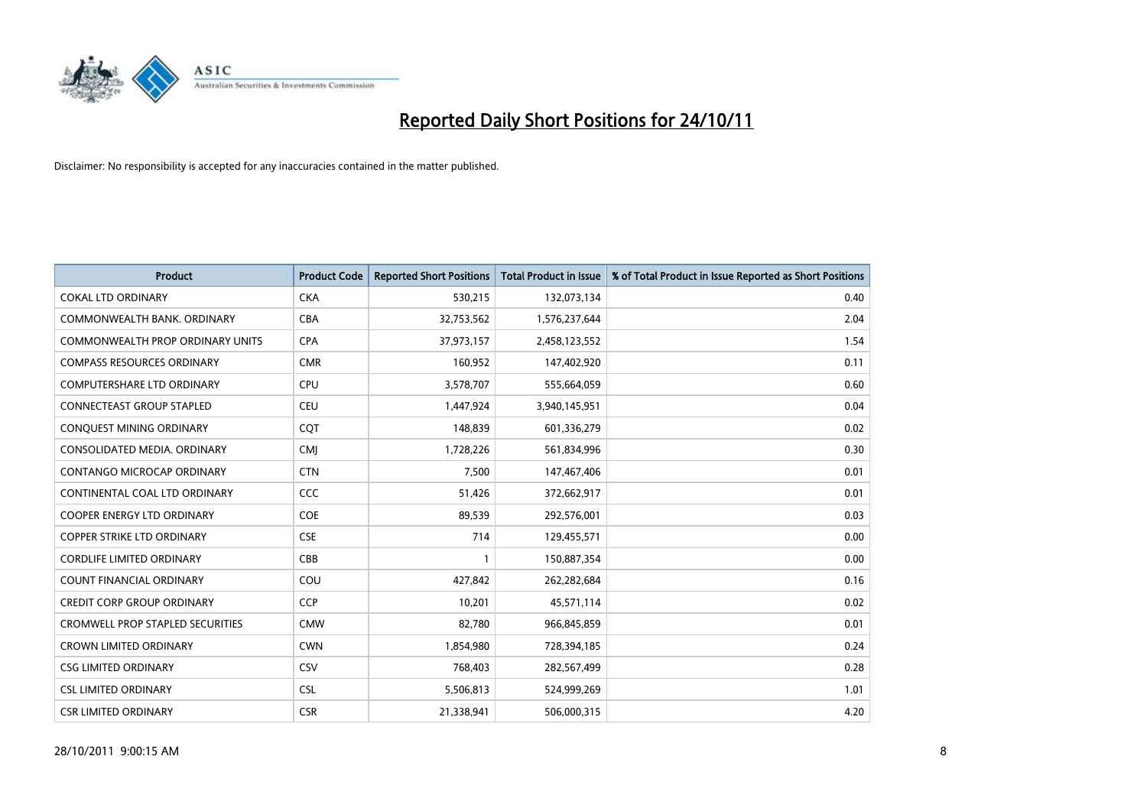

| <b>Product</b>                          | <b>Product Code</b> | <b>Reported Short Positions</b> | <b>Total Product in Issue</b> | % of Total Product in Issue Reported as Short Positions |
|-----------------------------------------|---------------------|---------------------------------|-------------------------------|---------------------------------------------------------|
| <b>COKAL LTD ORDINARY</b>               | <b>CKA</b>          | 530,215                         | 132,073,134                   | 0.40                                                    |
| COMMONWEALTH BANK, ORDINARY             | <b>CBA</b>          | 32,753,562                      | 1,576,237,644                 | 2.04                                                    |
| <b>COMMONWEALTH PROP ORDINARY UNITS</b> | <b>CPA</b>          | 37,973,157                      | 2,458,123,552                 | 1.54                                                    |
| <b>COMPASS RESOURCES ORDINARY</b>       | <b>CMR</b>          | 160,952                         | 147,402,920                   | 0.11                                                    |
| <b>COMPUTERSHARE LTD ORDINARY</b>       | <b>CPU</b>          | 3,578,707                       | 555,664,059                   | 0.60                                                    |
| CONNECTEAST GROUP STAPLED               | <b>CEU</b>          | 1,447,924                       | 3,940,145,951                 | 0.04                                                    |
| CONQUEST MINING ORDINARY                | COT                 | 148,839                         | 601,336,279                   | 0.02                                                    |
| CONSOLIDATED MEDIA, ORDINARY            | <b>CMJ</b>          | 1,728,226                       | 561,834,996                   | 0.30                                                    |
| CONTANGO MICROCAP ORDINARY              | <b>CTN</b>          | 7,500                           | 147,467,406                   | 0.01                                                    |
| CONTINENTAL COAL LTD ORDINARY           | <b>CCC</b>          | 51,426                          | 372,662,917                   | 0.01                                                    |
| <b>COOPER ENERGY LTD ORDINARY</b>       | <b>COE</b>          | 89,539                          | 292,576,001                   | 0.03                                                    |
| <b>COPPER STRIKE LTD ORDINARY</b>       | <b>CSE</b>          | 714                             | 129,455,571                   | 0.00                                                    |
| <b>CORDLIFE LIMITED ORDINARY</b>        | CBB                 |                                 | 150,887,354                   | 0.00                                                    |
| <b>COUNT FINANCIAL ORDINARY</b>         | COU                 | 427,842                         | 262,282,684                   | 0.16                                                    |
| <b>CREDIT CORP GROUP ORDINARY</b>       | <b>CCP</b>          | 10,201                          | 45,571,114                    | 0.02                                                    |
| <b>CROMWELL PROP STAPLED SECURITIES</b> | <b>CMW</b>          | 82,780                          | 966,845,859                   | 0.01                                                    |
| <b>CROWN LIMITED ORDINARY</b>           | <b>CWN</b>          | 1,854,980                       | 728,394,185                   | 0.24                                                    |
| <b>CSG LIMITED ORDINARY</b>             | CSV                 | 768,403                         | 282,567,499                   | 0.28                                                    |
| <b>CSL LIMITED ORDINARY</b>             | <b>CSL</b>          | 5,506,813                       | 524,999,269                   | 1.01                                                    |
| <b>CSR LIMITED ORDINARY</b>             | <b>CSR</b>          | 21,338,941                      | 506,000,315                   | 4.20                                                    |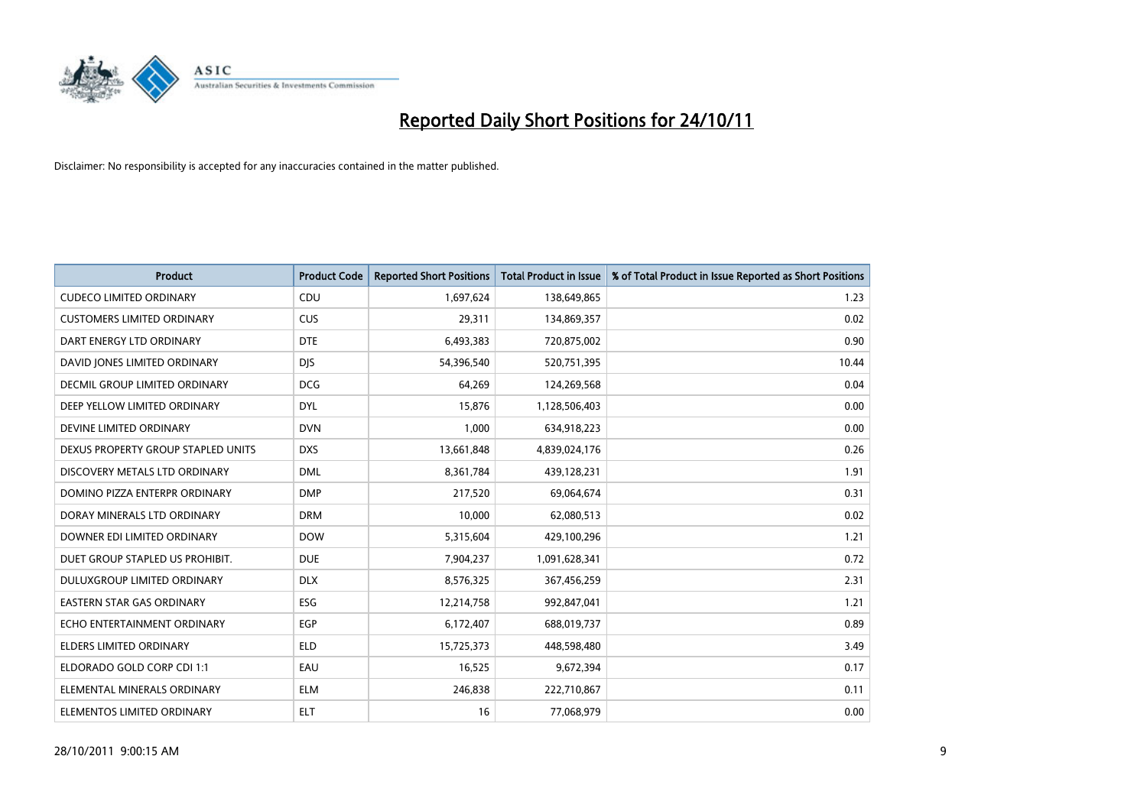

| <b>Product</b>                     | <b>Product Code</b> | <b>Reported Short Positions</b> | <b>Total Product in Issue</b> | % of Total Product in Issue Reported as Short Positions |
|------------------------------------|---------------------|---------------------------------|-------------------------------|---------------------------------------------------------|
| <b>CUDECO LIMITED ORDINARY</b>     | CDU                 | 1,697,624                       | 138,649,865                   | 1.23                                                    |
| <b>CUSTOMERS LIMITED ORDINARY</b>  | <b>CUS</b>          | 29,311                          | 134,869,357                   | 0.02                                                    |
| DART ENERGY LTD ORDINARY           | <b>DTE</b>          | 6,493,383                       | 720,875,002                   | 0.90                                                    |
| DAVID JONES LIMITED ORDINARY       | <b>DJS</b>          | 54,396,540                      | 520,751,395                   | 10.44                                                   |
| DECMIL GROUP LIMITED ORDINARY      | <b>DCG</b>          | 64,269                          | 124,269,568                   | 0.04                                                    |
| DEEP YELLOW LIMITED ORDINARY       | <b>DYL</b>          | 15,876                          | 1,128,506,403                 | 0.00                                                    |
| DEVINE LIMITED ORDINARY            | <b>DVN</b>          | 1,000                           | 634,918,223                   | 0.00                                                    |
| DEXUS PROPERTY GROUP STAPLED UNITS | <b>DXS</b>          | 13,661,848                      | 4,839,024,176                 | 0.26                                                    |
| DISCOVERY METALS LTD ORDINARY      | <b>DML</b>          | 8,361,784                       | 439,128,231                   | 1.91                                                    |
| DOMINO PIZZA ENTERPR ORDINARY      | <b>DMP</b>          | 217,520                         | 69,064,674                    | 0.31                                                    |
| DORAY MINERALS LTD ORDINARY        | <b>DRM</b>          | 10,000                          | 62,080,513                    | 0.02                                                    |
| DOWNER EDI LIMITED ORDINARY        | <b>DOW</b>          | 5,315,604                       | 429,100,296                   | 1.21                                                    |
| DUET GROUP STAPLED US PROHIBIT.    | <b>DUE</b>          | 7,904,237                       | 1,091,628,341                 | 0.72                                                    |
| <b>DULUXGROUP LIMITED ORDINARY</b> | <b>DLX</b>          | 8,576,325                       | 367,456,259                   | 2.31                                                    |
| <b>EASTERN STAR GAS ORDINARY</b>   | ESG                 | 12,214,758                      | 992,847,041                   | 1.21                                                    |
| ECHO ENTERTAINMENT ORDINARY        | <b>EGP</b>          | 6,172,407                       | 688,019,737                   | 0.89                                                    |
| ELDERS LIMITED ORDINARY            | <b>ELD</b>          | 15,725,373                      | 448,598,480                   | 3.49                                                    |
| ELDORADO GOLD CORP CDI 1:1         | EAU                 | 16,525                          | 9,672,394                     | 0.17                                                    |
| ELEMENTAL MINERALS ORDINARY        | <b>ELM</b>          | 246,838                         | 222,710,867                   | 0.11                                                    |
| ELEMENTOS LIMITED ORDINARY         | <b>ELT</b>          | 16                              | 77,068,979                    | 0.00                                                    |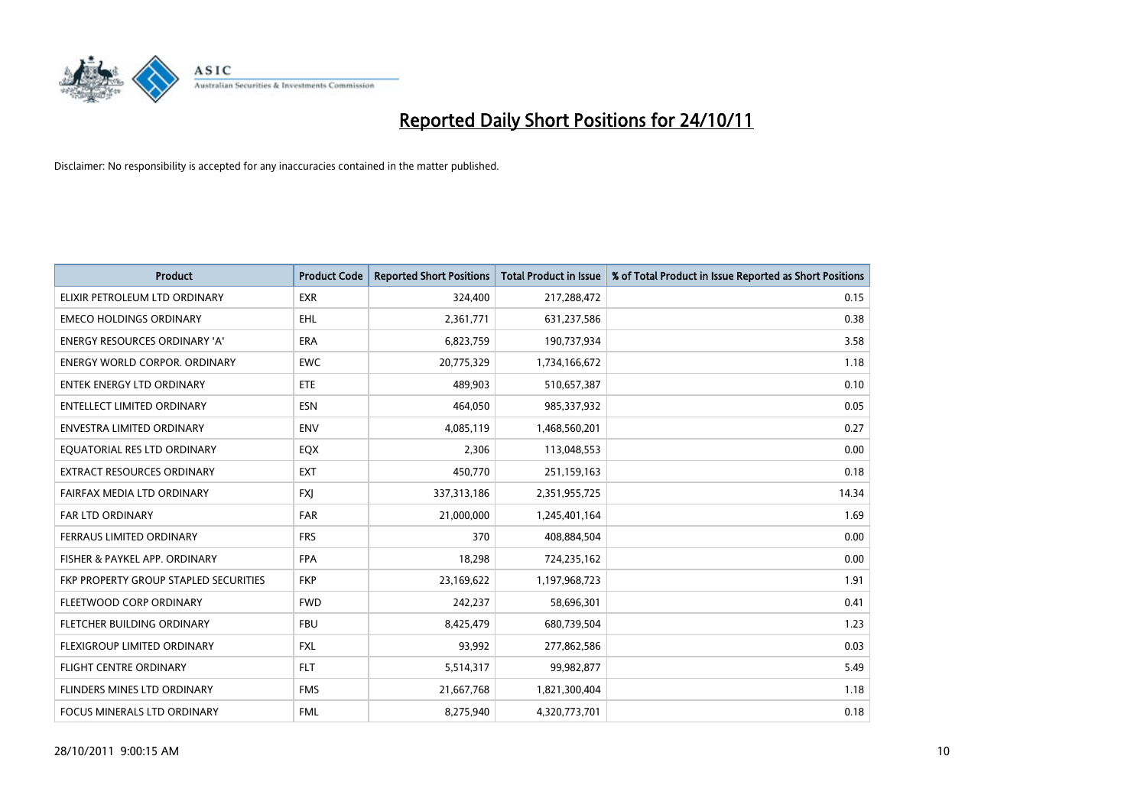

| <b>Product</b>                               | <b>Product Code</b> | <b>Reported Short Positions</b> | <b>Total Product in Issue</b> | % of Total Product in Issue Reported as Short Positions |
|----------------------------------------------|---------------------|---------------------------------|-------------------------------|---------------------------------------------------------|
| ELIXIR PETROLEUM LTD ORDINARY                | <b>EXR</b>          | 324.400                         | 217,288,472                   | 0.15                                                    |
| <b>EMECO HOLDINGS ORDINARY</b>               | <b>EHL</b>          | 2,361,771                       | 631,237,586                   | 0.38                                                    |
| <b>ENERGY RESOURCES ORDINARY 'A'</b>         | <b>ERA</b>          | 6,823,759                       | 190,737,934                   | 3.58                                                    |
| <b>ENERGY WORLD CORPOR. ORDINARY</b>         | <b>EWC</b>          | 20,775,329                      | 1,734,166,672                 | 1.18                                                    |
| <b>ENTEK ENERGY LTD ORDINARY</b>             | <b>ETE</b>          | 489,903                         | 510,657,387                   | 0.10                                                    |
| <b>ENTELLECT LIMITED ORDINARY</b>            | <b>ESN</b>          | 464,050                         | 985,337,932                   | 0.05                                                    |
| ENVESTRA LIMITED ORDINARY                    | <b>ENV</b>          | 4,085,119                       | 1,468,560,201                 | 0.27                                                    |
| EQUATORIAL RES LTD ORDINARY                  | <b>EQX</b>          | 2,306                           | 113,048,553                   | 0.00                                                    |
| <b>EXTRACT RESOURCES ORDINARY</b>            | <b>EXT</b>          | 450,770                         | 251,159,163                   | 0.18                                                    |
| FAIRFAX MEDIA LTD ORDINARY                   | <b>FXI</b>          | 337,313,186                     | 2,351,955,725                 | 14.34                                                   |
| <b>FAR LTD ORDINARY</b>                      | <b>FAR</b>          | 21,000,000                      | 1,245,401,164                 | 1.69                                                    |
| <b>FERRAUS LIMITED ORDINARY</b>              | <b>FRS</b>          | 370                             | 408,884,504                   | 0.00                                                    |
| FISHER & PAYKEL APP. ORDINARY                | <b>FPA</b>          | 18,298                          | 724,235,162                   | 0.00                                                    |
| <b>FKP PROPERTY GROUP STAPLED SECURITIES</b> | <b>FKP</b>          | 23,169,622                      | 1,197,968,723                 | 1.91                                                    |
| FLEETWOOD CORP ORDINARY                      | <b>FWD</b>          | 242,237                         | 58,696,301                    | 0.41                                                    |
| FLETCHER BUILDING ORDINARY                   | <b>FBU</b>          | 8,425,479                       | 680,739,504                   | 1.23                                                    |
| FLEXIGROUP LIMITED ORDINARY                  | <b>FXL</b>          | 93,992                          | 277,862,586                   | 0.03                                                    |
| <b>FLIGHT CENTRE ORDINARY</b>                | <b>FLT</b>          | 5,514,317                       | 99,982,877                    | 5.49                                                    |
| FLINDERS MINES LTD ORDINARY                  | <b>FMS</b>          | 21,667,768                      | 1,821,300,404                 | 1.18                                                    |
| FOCUS MINERALS LTD ORDINARY                  | <b>FML</b>          | 8,275,940                       | 4,320,773,701                 | 0.18                                                    |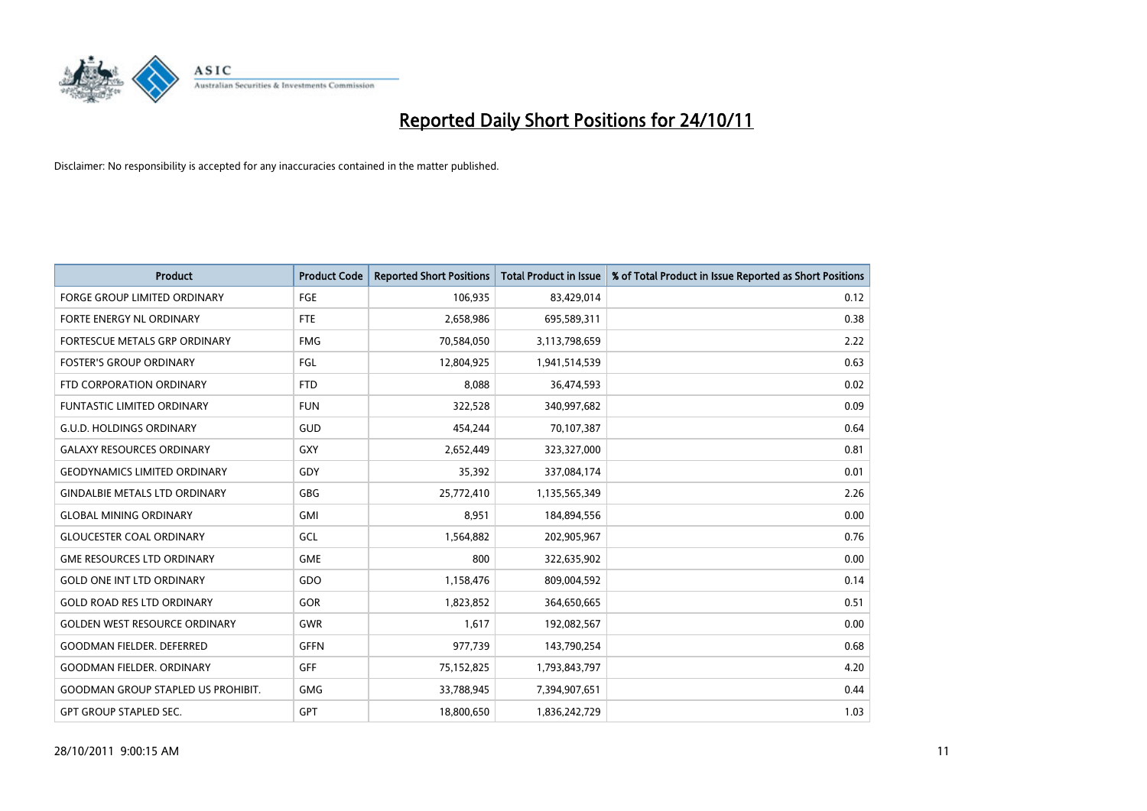

| <b>Product</b>                            | <b>Product Code</b> | <b>Reported Short Positions</b> | <b>Total Product in Issue</b> | % of Total Product in Issue Reported as Short Positions |
|-------------------------------------------|---------------------|---------------------------------|-------------------------------|---------------------------------------------------------|
| <b>FORGE GROUP LIMITED ORDINARY</b>       | FGE                 | 106,935                         | 83,429,014                    | 0.12                                                    |
| <b>FORTE ENERGY NL ORDINARY</b>           | FTE                 | 2,658,986                       | 695,589,311                   | 0.38                                                    |
| FORTESCUE METALS GRP ORDINARY             | <b>FMG</b>          | 70,584,050                      | 3,113,798,659                 | 2.22                                                    |
| <b>FOSTER'S GROUP ORDINARY</b>            | FGL                 | 12,804,925                      | 1,941,514,539                 | 0.63                                                    |
| FTD CORPORATION ORDINARY                  | <b>FTD</b>          | 8,088                           | 36,474,593                    | 0.02                                                    |
| <b>FUNTASTIC LIMITED ORDINARY</b>         | <b>FUN</b>          | 322,528                         | 340,997,682                   | 0.09                                                    |
| G.U.D. HOLDINGS ORDINARY                  | GUD                 | 454,244                         | 70,107,387                    | 0.64                                                    |
| <b>GALAXY RESOURCES ORDINARY</b>          | <b>GXY</b>          | 2,652,449                       | 323,327,000                   | 0.81                                                    |
| <b>GEODYNAMICS LIMITED ORDINARY</b>       | GDY                 | 35,392                          | 337,084,174                   | 0.01                                                    |
| <b>GINDALBIE METALS LTD ORDINARY</b>      | <b>GBG</b>          | 25,772,410                      | 1,135,565,349                 | 2.26                                                    |
| <b>GLOBAL MINING ORDINARY</b>             | <b>GMI</b>          | 8,951                           | 184,894,556                   | 0.00                                                    |
| <b>GLOUCESTER COAL ORDINARY</b>           | GCL                 | 1,564,882                       | 202,905,967                   | 0.76                                                    |
| <b>GME RESOURCES LTD ORDINARY</b>         | <b>GME</b>          | 800                             | 322,635,902                   | 0.00                                                    |
| <b>GOLD ONE INT LTD ORDINARY</b>          | GDO                 | 1,158,476                       | 809,004,592                   | 0.14                                                    |
| <b>GOLD ROAD RES LTD ORDINARY</b>         | GOR                 | 1,823,852                       | 364,650,665                   | 0.51                                                    |
| <b>GOLDEN WEST RESOURCE ORDINARY</b>      | <b>GWR</b>          | 1,617                           | 192,082,567                   | 0.00                                                    |
| <b>GOODMAN FIELDER. DEFERRED</b>          | <b>GFFN</b>         | 977,739                         | 143,790,254                   | 0.68                                                    |
| <b>GOODMAN FIELDER, ORDINARY</b>          | <b>GFF</b>          | 75,152,825                      | 1,793,843,797                 | 4.20                                                    |
| <b>GOODMAN GROUP STAPLED US PROHIBIT.</b> | <b>GMG</b>          | 33,788,945                      | 7,394,907,651                 | 0.44                                                    |
| <b>GPT GROUP STAPLED SEC.</b>             | <b>GPT</b>          | 18,800,650                      | 1,836,242,729                 | 1.03                                                    |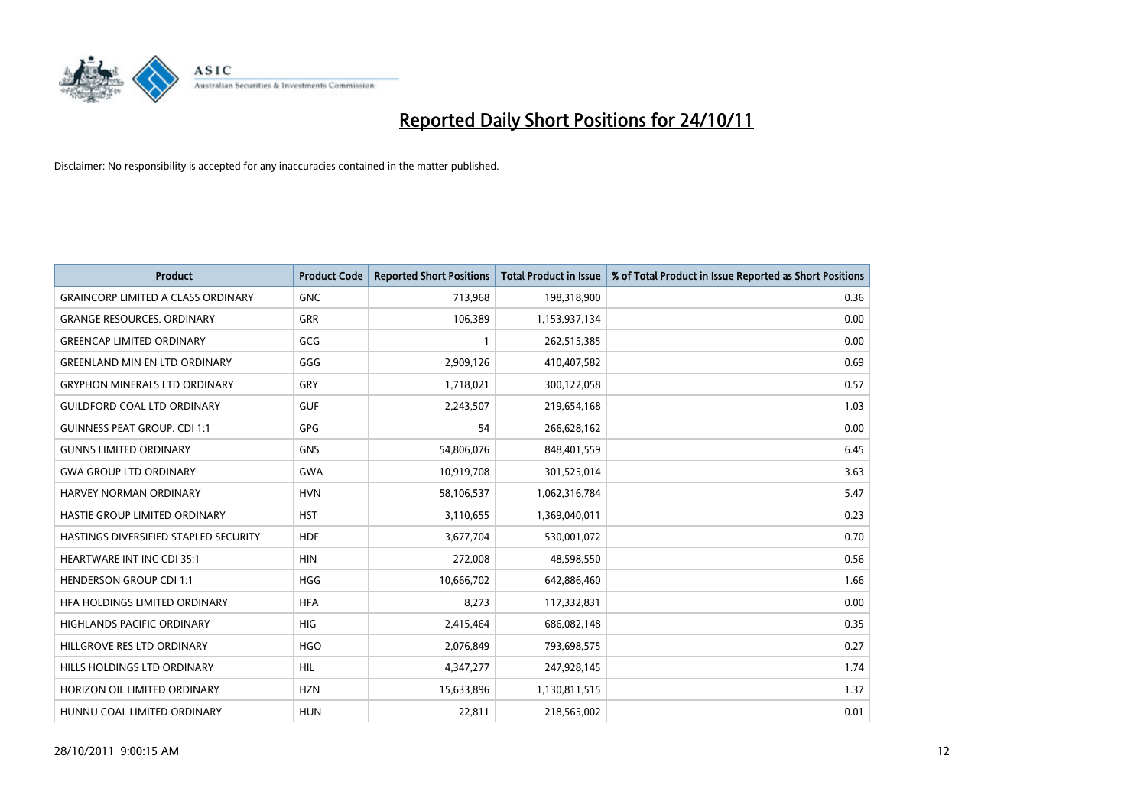

| <b>Product</b>                            | <b>Product Code</b> | <b>Reported Short Positions</b> | <b>Total Product in Issue</b> | % of Total Product in Issue Reported as Short Positions |
|-------------------------------------------|---------------------|---------------------------------|-------------------------------|---------------------------------------------------------|
| <b>GRAINCORP LIMITED A CLASS ORDINARY</b> | <b>GNC</b>          | 713,968                         | 198,318,900                   | 0.36                                                    |
| <b>GRANGE RESOURCES. ORDINARY</b>         | <b>GRR</b>          | 106,389                         | 1,153,937,134                 | 0.00                                                    |
| <b>GREENCAP LIMITED ORDINARY</b>          | GCG                 |                                 | 262,515,385                   | 0.00                                                    |
| <b>GREENLAND MIN EN LTD ORDINARY</b>      | GGG                 | 2,909,126                       | 410,407,582                   | 0.69                                                    |
| <b>GRYPHON MINERALS LTD ORDINARY</b>      | GRY                 | 1,718,021                       | 300,122,058                   | 0.57                                                    |
| <b>GUILDFORD COAL LTD ORDINARY</b>        | <b>GUF</b>          | 2,243,507                       | 219,654,168                   | 1.03                                                    |
| <b>GUINNESS PEAT GROUP. CDI 1:1</b>       | <b>GPG</b>          | 54                              | 266,628,162                   | 0.00                                                    |
| <b>GUNNS LIMITED ORDINARY</b>             | <b>GNS</b>          | 54,806,076                      | 848,401,559                   | 6.45                                                    |
| <b>GWA GROUP LTD ORDINARY</b>             | <b>GWA</b>          | 10,919,708                      | 301,525,014                   | 3.63                                                    |
| <b>HARVEY NORMAN ORDINARY</b>             | <b>HVN</b>          | 58,106,537                      | 1,062,316,784                 | 5.47                                                    |
| HASTIE GROUP LIMITED ORDINARY             | <b>HST</b>          | 3,110,655                       | 1,369,040,011                 | 0.23                                                    |
| HASTINGS DIVERSIFIED STAPLED SECURITY     | <b>HDF</b>          | 3,677,704                       | 530,001,072                   | 0.70                                                    |
| HEARTWARE INT INC CDI 35:1                | <b>HIN</b>          | 272,008                         | 48,598,550                    | 0.56                                                    |
| <b>HENDERSON GROUP CDI 1:1</b>            | <b>HGG</b>          | 10,666,702                      | 642,886,460                   | 1.66                                                    |
| HFA HOLDINGS LIMITED ORDINARY             | <b>HFA</b>          | 8,273                           | 117,332,831                   | 0.00                                                    |
| HIGHLANDS PACIFIC ORDINARY                | <b>HIG</b>          | 2,415,464                       | 686,082,148                   | 0.35                                                    |
| HILLGROVE RES LTD ORDINARY                | <b>HGO</b>          | 2,076,849                       | 793,698,575                   | 0.27                                                    |
| HILLS HOLDINGS LTD ORDINARY               | <b>HIL</b>          | 4,347,277                       | 247,928,145                   | 1.74                                                    |
| HORIZON OIL LIMITED ORDINARY              | <b>HZN</b>          | 15,633,896                      | 1,130,811,515                 | 1.37                                                    |
| HUNNU COAL LIMITED ORDINARY               | <b>HUN</b>          | 22,811                          | 218,565,002                   | 0.01                                                    |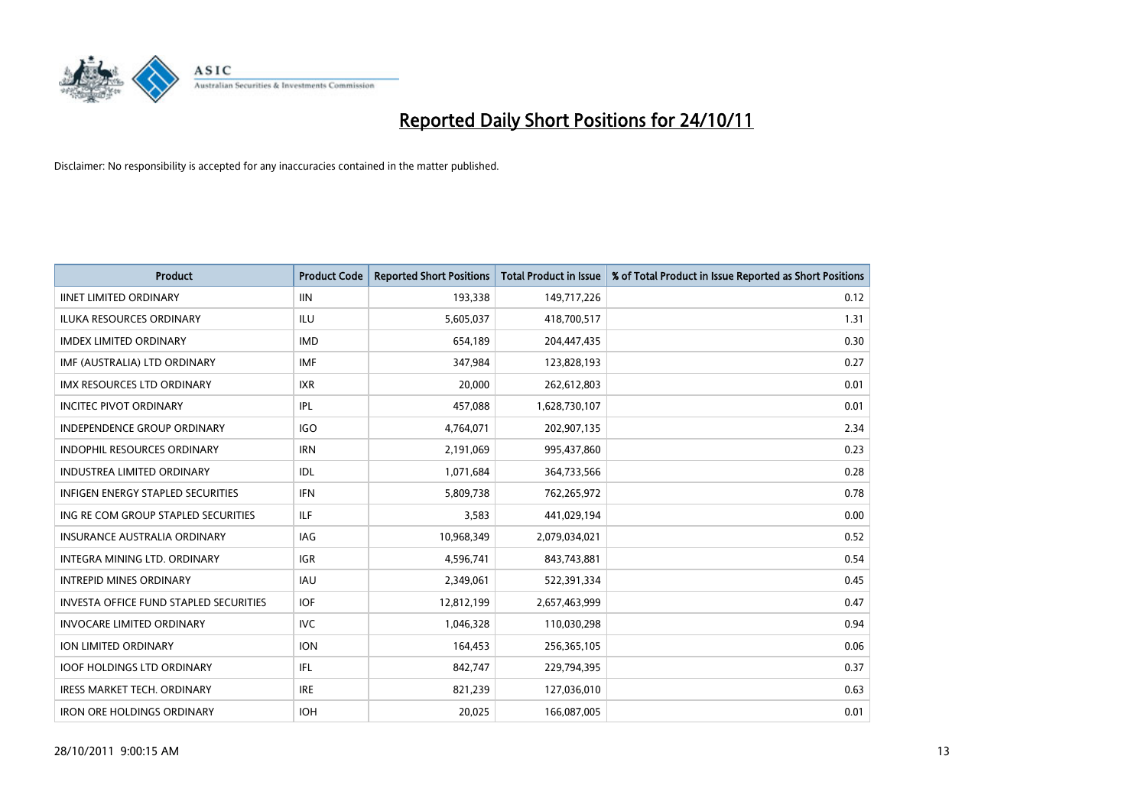

| <b>Product</b>                                | <b>Product Code</b> | <b>Reported Short Positions</b> | Total Product in Issue | % of Total Product in Issue Reported as Short Positions |
|-----------------------------------------------|---------------------|---------------------------------|------------------------|---------------------------------------------------------|
| <b>IINET LIMITED ORDINARY</b>                 | <b>IIN</b>          | 193,338                         | 149,717,226            | 0.12                                                    |
| ILUKA RESOURCES ORDINARY                      | ILU                 | 5,605,037                       | 418,700,517            | 1.31                                                    |
| <b>IMDEX LIMITED ORDINARY</b>                 | <b>IMD</b>          | 654,189                         | 204,447,435            | 0.30                                                    |
| IMF (AUSTRALIA) LTD ORDINARY                  | <b>IMF</b>          | 347,984                         | 123,828,193            | 0.27                                                    |
| <b>IMX RESOURCES LTD ORDINARY</b>             | <b>IXR</b>          | 20,000                          | 262,612,803            | 0.01                                                    |
| <b>INCITEC PIVOT ORDINARY</b>                 | IPL                 | 457,088                         | 1,628,730,107          | 0.01                                                    |
| <b>INDEPENDENCE GROUP ORDINARY</b>            | <b>IGO</b>          | 4,764,071                       | 202,907,135            | 2.34                                                    |
| INDOPHIL RESOURCES ORDINARY                   | <b>IRN</b>          | 2,191,069                       | 995,437,860            | 0.23                                                    |
| <b>INDUSTREA LIMITED ORDINARY</b>             | IDL                 | 1,071,684                       | 364,733,566            | 0.28                                                    |
| <b>INFIGEN ENERGY STAPLED SECURITIES</b>      | <b>IFN</b>          | 5,809,738                       | 762,265,972            | 0.78                                                    |
| ING RE COM GROUP STAPLED SECURITIES           | ILF.                | 3,583                           | 441,029,194            | 0.00                                                    |
| <b>INSURANCE AUSTRALIA ORDINARY</b>           | IAG                 | 10,968,349                      | 2,079,034,021          | 0.52                                                    |
| INTEGRA MINING LTD. ORDINARY                  | <b>IGR</b>          | 4,596,741                       | 843,743,881            | 0.54                                                    |
| <b>INTREPID MINES ORDINARY</b>                | <b>IAU</b>          | 2,349,061                       | 522,391,334            | 0.45                                                    |
| <b>INVESTA OFFICE FUND STAPLED SECURITIES</b> | <b>IOF</b>          | 12,812,199                      | 2,657,463,999          | 0.47                                                    |
| <b>INVOCARE LIMITED ORDINARY</b>              | <b>IVC</b>          | 1,046,328                       | 110,030,298            | 0.94                                                    |
| ION LIMITED ORDINARY                          | <b>ION</b>          | 164,453                         | 256,365,105            | 0.06                                                    |
| <b>IOOF HOLDINGS LTD ORDINARY</b>             | IFL.                | 842,747                         | 229,794,395            | 0.37                                                    |
| <b>IRESS MARKET TECH. ORDINARY</b>            | <b>IRE</b>          | 821,239                         | 127,036,010            | 0.63                                                    |
| <b>IRON ORE HOLDINGS ORDINARY</b>             | <b>IOH</b>          | 20,025                          | 166,087,005            | 0.01                                                    |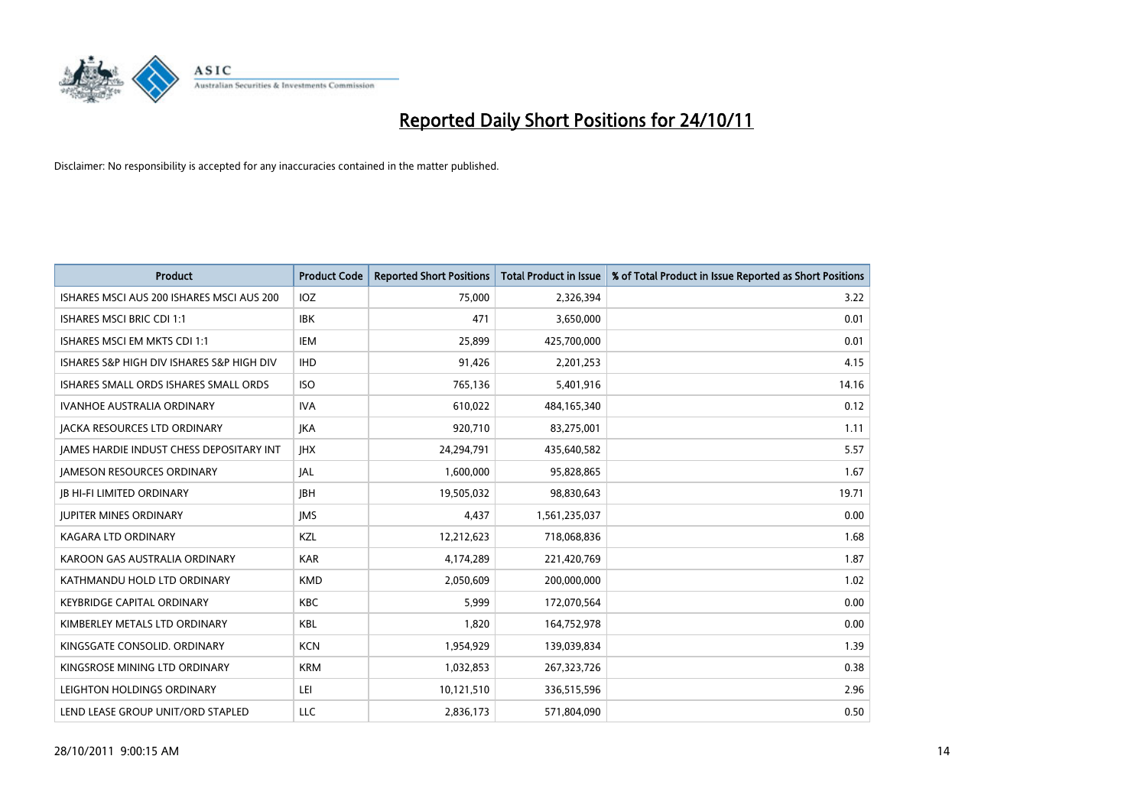

| <b>Product</b>                            | <b>Product Code</b> | <b>Reported Short Positions</b> | Total Product in Issue | % of Total Product in Issue Reported as Short Positions |
|-------------------------------------------|---------------------|---------------------------------|------------------------|---------------------------------------------------------|
| ISHARES MSCI AUS 200 ISHARES MSCI AUS 200 | <b>IOZ</b>          | 75.000                          | 2,326,394              | 3.22                                                    |
| ISHARES MSCI BRIC CDI 1:1                 | <b>IBK</b>          | 471                             | 3,650,000              | 0.01                                                    |
| ISHARES MSCI EM MKTS CDI 1:1              | <b>IEM</b>          | 25,899                          | 425,700,000            | 0.01                                                    |
| ISHARES S&P HIGH DIV ISHARES S&P HIGH DIV | <b>IHD</b>          | 91,426                          | 2,201,253              | 4.15                                                    |
| ISHARES SMALL ORDS ISHARES SMALL ORDS     | <b>ISO</b>          | 765,136                         | 5,401,916              | 14.16                                                   |
| IVANHOE AUSTRALIA ORDINARY                | <b>IVA</b>          | 610,022                         | 484,165,340            | 0.12                                                    |
| <b>JACKA RESOURCES LTD ORDINARY</b>       | <b>IKA</b>          | 920.710                         | 83,275,001             | 1.11                                                    |
| JAMES HARDIE INDUST CHESS DEPOSITARY INT  | <b>IHX</b>          | 24,294,791                      | 435,640,582            | 5.57                                                    |
| <b>JAMESON RESOURCES ORDINARY</b>         | <b>JAL</b>          | 1,600,000                       | 95,828,865             | 1.67                                                    |
| <b>JB HI-FI LIMITED ORDINARY</b>          | <b>IBH</b>          | 19,505,032                      | 98,830,643             | 19.71                                                   |
| <b>JUPITER MINES ORDINARY</b>             | <b>IMS</b>          | 4,437                           | 1,561,235,037          | 0.00                                                    |
| <b>KAGARA LTD ORDINARY</b>                | <b>KZL</b>          | 12,212,623                      | 718,068,836            | 1.68                                                    |
| KAROON GAS AUSTRALIA ORDINARY             | <b>KAR</b>          | 4,174,289                       | 221,420,769            | 1.87                                                    |
| KATHMANDU HOLD LTD ORDINARY               | <b>KMD</b>          | 2,050,609                       | 200,000,000            | 1.02                                                    |
| <b>KEYBRIDGE CAPITAL ORDINARY</b>         | <b>KBC</b>          | 5.999                           | 172,070,564            | 0.00                                                    |
| KIMBERLEY METALS LTD ORDINARY             | <b>KBL</b>          | 1,820                           | 164,752,978            | 0.00                                                    |
| KINGSGATE CONSOLID. ORDINARY              | <b>KCN</b>          | 1,954,929                       | 139,039,834            | 1.39                                                    |
| KINGSROSE MINING LTD ORDINARY             | <b>KRM</b>          | 1,032,853                       | 267,323,726            | 0.38                                                    |
| LEIGHTON HOLDINGS ORDINARY                | LEI                 | 10,121,510                      | 336,515,596            | 2.96                                                    |
| LEND LEASE GROUP UNIT/ORD STAPLED         | LLC                 | 2,836,173                       | 571,804,090            | 0.50                                                    |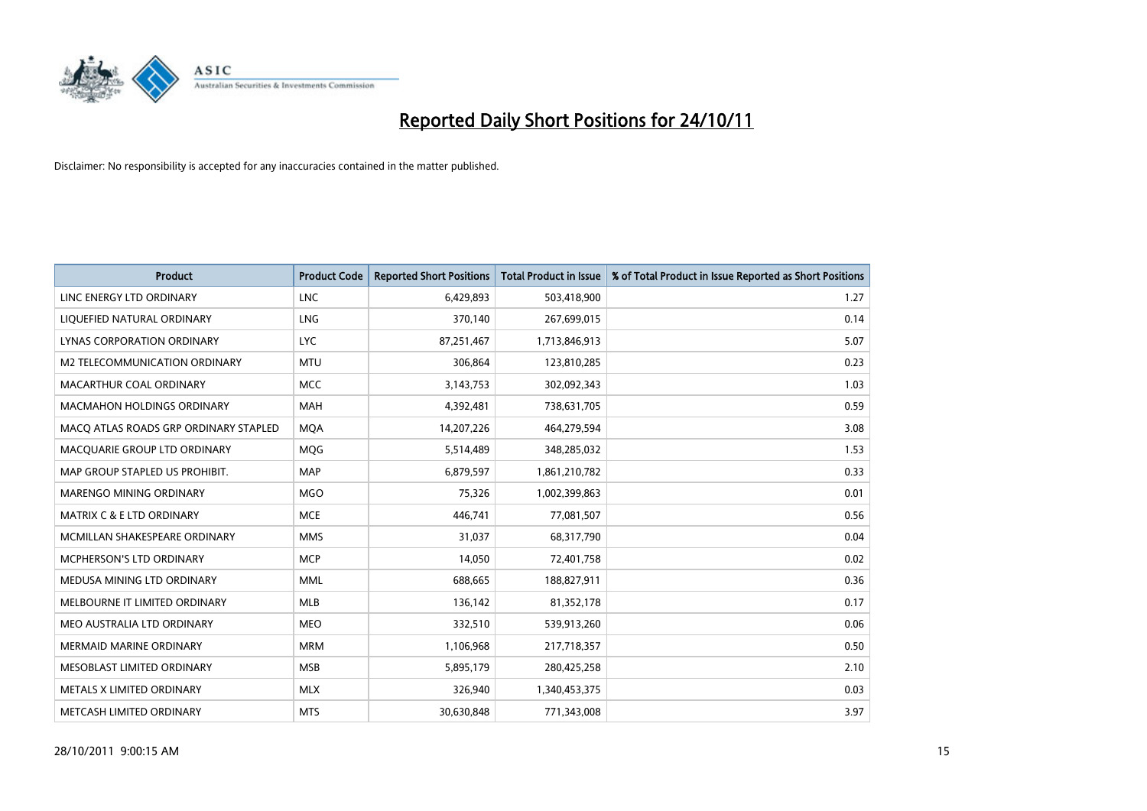

| <b>Product</b>                        | <b>Product Code</b> | <b>Reported Short Positions</b> | <b>Total Product in Issue</b> | % of Total Product in Issue Reported as Short Positions |
|---------------------------------------|---------------------|---------------------------------|-------------------------------|---------------------------------------------------------|
| LINC ENERGY LTD ORDINARY              | <b>LNC</b>          | 6,429,893                       | 503,418,900                   | 1.27                                                    |
| LIQUEFIED NATURAL ORDINARY            | LNG                 | 370,140                         | 267,699,015                   | 0.14                                                    |
| LYNAS CORPORATION ORDINARY            | <b>LYC</b>          | 87,251,467                      | 1,713,846,913                 | 5.07                                                    |
| M2 TELECOMMUNICATION ORDINARY         | <b>MTU</b>          | 306,864                         | 123,810,285                   | 0.23                                                    |
| MACARTHUR COAL ORDINARY               | <b>MCC</b>          | 3,143,753                       | 302,092,343                   | 1.03                                                    |
| <b>MACMAHON HOLDINGS ORDINARY</b>     | <b>MAH</b>          | 4,392,481                       | 738,631,705                   | 0.59                                                    |
| MACO ATLAS ROADS GRP ORDINARY STAPLED | <b>MOA</b>          | 14,207,226                      | 464,279,594                   | 3.08                                                    |
| MACQUARIE GROUP LTD ORDINARY          | <b>MOG</b>          | 5,514,489                       | 348,285,032                   | 1.53                                                    |
| MAP GROUP STAPLED US PROHIBIT.        | <b>MAP</b>          | 6,879,597                       | 1,861,210,782                 | 0.33                                                    |
| MARENGO MINING ORDINARY               | <b>MGO</b>          | 75,326                          | 1,002,399,863                 | 0.01                                                    |
| MATRIX C & E LTD ORDINARY             | <b>MCE</b>          | 446,741                         | 77,081,507                    | 0.56                                                    |
| MCMILLAN SHAKESPEARE ORDINARY         | <b>MMS</b>          | 31,037                          | 68,317,790                    | 0.04                                                    |
| MCPHERSON'S LTD ORDINARY              | <b>MCP</b>          | 14,050                          | 72,401,758                    | 0.02                                                    |
| MEDUSA MINING LTD ORDINARY            | <b>MML</b>          | 688,665                         | 188,827,911                   | 0.36                                                    |
| MELBOURNE IT LIMITED ORDINARY         | <b>MLB</b>          | 136,142                         | 81,352,178                    | 0.17                                                    |
| MEO AUSTRALIA LTD ORDINARY            | <b>MEO</b>          | 332,510                         | 539,913,260                   | 0.06                                                    |
| MERMAID MARINE ORDINARY               | <b>MRM</b>          | 1,106,968                       | 217,718,357                   | 0.50                                                    |
| MESOBLAST LIMITED ORDINARY            | <b>MSB</b>          | 5,895,179                       | 280,425,258                   | 2.10                                                    |
| METALS X LIMITED ORDINARY             | <b>MLX</b>          | 326,940                         | 1,340,453,375                 | 0.03                                                    |
| METCASH LIMITED ORDINARY              | <b>MTS</b>          | 30,630,848                      | 771,343,008                   | 3.97                                                    |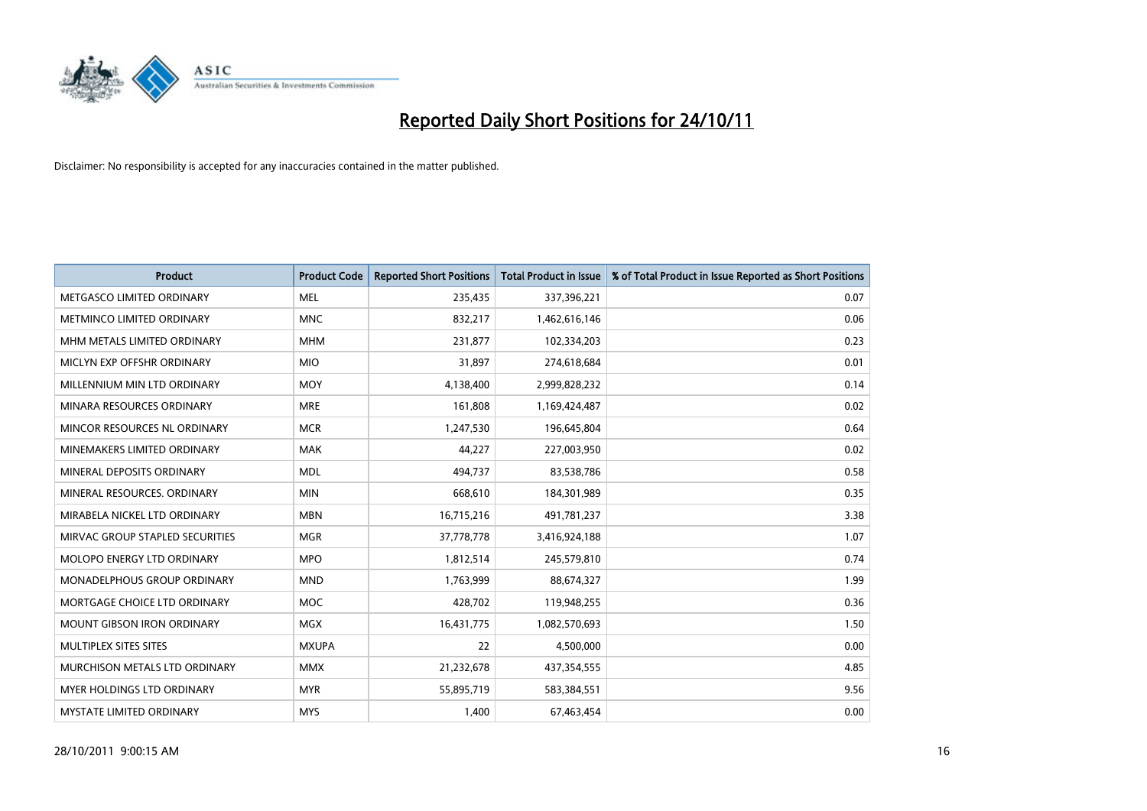

| <b>Product</b>                     | <b>Product Code</b> | <b>Reported Short Positions</b> | Total Product in Issue | % of Total Product in Issue Reported as Short Positions |
|------------------------------------|---------------------|---------------------------------|------------------------|---------------------------------------------------------|
| METGASCO LIMITED ORDINARY          | <b>MEL</b>          | 235,435                         | 337,396,221            | 0.07                                                    |
| METMINCO LIMITED ORDINARY          | <b>MNC</b>          | 832,217                         | 1,462,616,146          | 0.06                                                    |
| MHM METALS LIMITED ORDINARY        | <b>MHM</b>          | 231,877                         | 102,334,203            | 0.23                                                    |
| MICLYN EXP OFFSHR ORDINARY         | <b>MIO</b>          | 31,897                          | 274,618,684            | 0.01                                                    |
| MILLENNIUM MIN LTD ORDINARY        | <b>MOY</b>          | 4,138,400                       | 2,999,828,232          | 0.14                                                    |
| MINARA RESOURCES ORDINARY          | <b>MRE</b>          | 161,808                         | 1,169,424,487          | 0.02                                                    |
| MINCOR RESOURCES NL ORDINARY       | <b>MCR</b>          | 1,247,530                       | 196,645,804            | 0.64                                                    |
| MINEMAKERS LIMITED ORDINARY        | <b>MAK</b>          | 44.227                          | 227,003,950            | 0.02                                                    |
| MINERAL DEPOSITS ORDINARY          | <b>MDL</b>          | 494,737                         | 83,538,786             | 0.58                                                    |
| MINERAL RESOURCES, ORDINARY        | <b>MIN</b>          | 668,610                         | 184,301,989            | 0.35                                                    |
| MIRABELA NICKEL LTD ORDINARY       | <b>MBN</b>          | 16,715,216                      | 491,781,237            | 3.38                                                    |
| MIRVAC GROUP STAPLED SECURITIES    | <b>MGR</b>          | 37,778,778                      | 3,416,924,188          | 1.07                                                    |
| <b>MOLOPO ENERGY LTD ORDINARY</b>  | <b>MPO</b>          | 1,812,514                       | 245,579,810            | 0.74                                                    |
| <b>MONADELPHOUS GROUP ORDINARY</b> | <b>MND</b>          | 1,763,999                       | 88,674,327             | 1.99                                                    |
| MORTGAGE CHOICE LTD ORDINARY       | <b>MOC</b>          | 428,702                         | 119,948,255            | 0.36                                                    |
| <b>MOUNT GIBSON IRON ORDINARY</b>  | <b>MGX</b>          | 16,431,775                      | 1,082,570,693          | 1.50                                                    |
| MULTIPLEX SITES SITES              | <b>MXUPA</b>        | 22                              | 4,500,000              | 0.00                                                    |
| MURCHISON METALS LTD ORDINARY      | <b>MMX</b>          | 21,232,678                      | 437,354,555            | 4.85                                                    |
| MYER HOLDINGS LTD ORDINARY         | <b>MYR</b>          | 55,895,719                      | 583,384,551            | 9.56                                                    |
| MYSTATE LIMITED ORDINARY           | <b>MYS</b>          | 1,400                           | 67,463,454             | 0.00                                                    |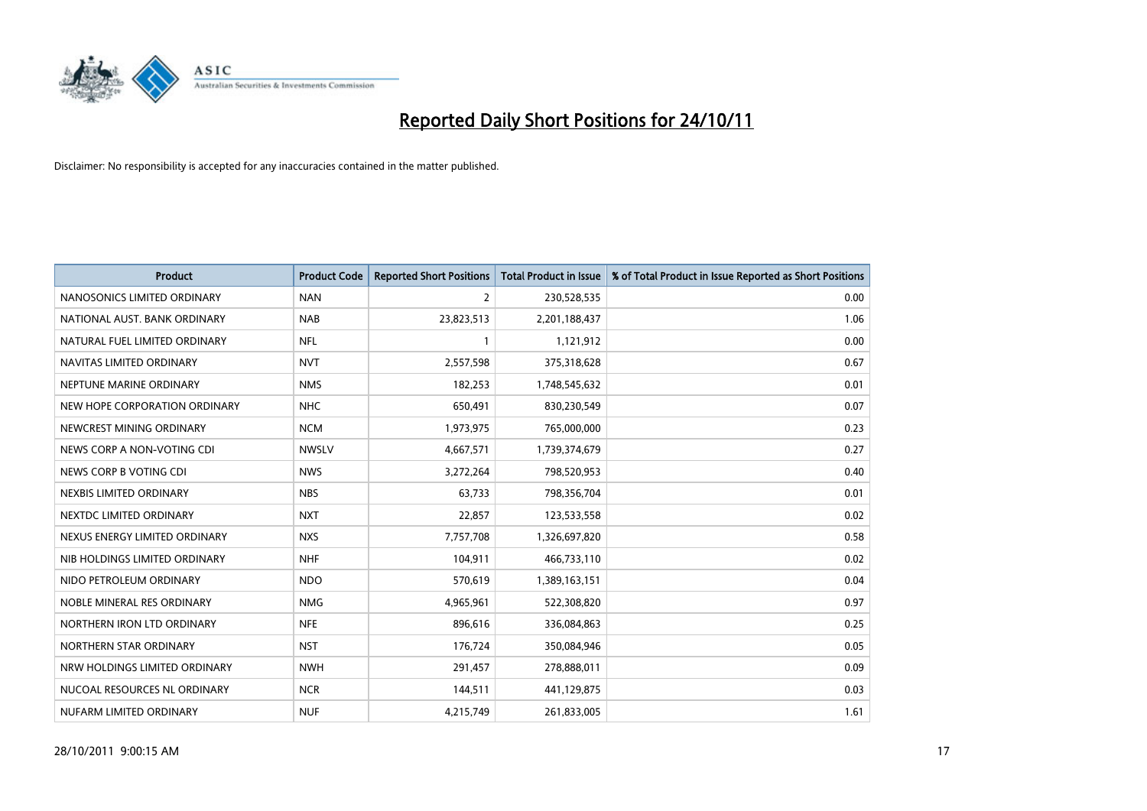

| <b>Product</b>                | <b>Product Code</b> | <b>Reported Short Positions</b> | <b>Total Product in Issue</b> | % of Total Product in Issue Reported as Short Positions |
|-------------------------------|---------------------|---------------------------------|-------------------------------|---------------------------------------------------------|
| NANOSONICS LIMITED ORDINARY   | <b>NAN</b>          | 2                               | 230,528,535                   | 0.00                                                    |
| NATIONAL AUST. BANK ORDINARY  | <b>NAB</b>          | 23,823,513                      | 2,201,188,437                 | 1.06                                                    |
| NATURAL FUEL LIMITED ORDINARY | <b>NFL</b>          |                                 | 1,121,912                     | 0.00                                                    |
| NAVITAS LIMITED ORDINARY      | <b>NVT</b>          | 2,557,598                       | 375,318,628                   | 0.67                                                    |
| NEPTUNE MARINE ORDINARY       | <b>NMS</b>          | 182,253                         | 1,748,545,632                 | 0.01                                                    |
| NEW HOPE CORPORATION ORDINARY | <b>NHC</b>          | 650,491                         | 830,230,549                   | 0.07                                                    |
| NEWCREST MINING ORDINARY      | <b>NCM</b>          | 1,973,975                       | 765,000,000                   | 0.23                                                    |
| NEWS CORP A NON-VOTING CDI    | <b>NWSLV</b>        | 4,667,571                       | 1,739,374,679                 | 0.27                                                    |
| NEWS CORP B VOTING CDI        | <b>NWS</b>          | 3,272,264                       | 798,520,953                   | 0.40                                                    |
| NEXBIS LIMITED ORDINARY       | <b>NBS</b>          | 63,733                          | 798,356,704                   | 0.01                                                    |
| NEXTDC LIMITED ORDINARY       | <b>NXT</b>          | 22,857                          | 123,533,558                   | 0.02                                                    |
| NEXUS ENERGY LIMITED ORDINARY | <b>NXS</b>          | 7,757,708                       | 1,326,697,820                 | 0.58                                                    |
| NIB HOLDINGS LIMITED ORDINARY | <b>NHF</b>          | 104,911                         | 466,733,110                   | 0.02                                                    |
| NIDO PETROLEUM ORDINARY       | <b>NDO</b>          | 570,619                         | 1,389,163,151                 | 0.04                                                    |
| NOBLE MINERAL RES ORDINARY    | <b>NMG</b>          | 4,965,961                       | 522,308,820                   | 0.97                                                    |
| NORTHERN IRON LTD ORDINARY    | <b>NFE</b>          | 896,616                         | 336,084,863                   | 0.25                                                    |
| NORTHERN STAR ORDINARY        | <b>NST</b>          | 176,724                         | 350,084,946                   | 0.05                                                    |
| NRW HOLDINGS LIMITED ORDINARY | <b>NWH</b>          | 291,457                         | 278,888,011                   | 0.09                                                    |
| NUCOAL RESOURCES NL ORDINARY  | <b>NCR</b>          | 144,511                         | 441,129,875                   | 0.03                                                    |
| NUFARM LIMITED ORDINARY       | <b>NUF</b>          | 4,215,749                       | 261,833,005                   | 1.61                                                    |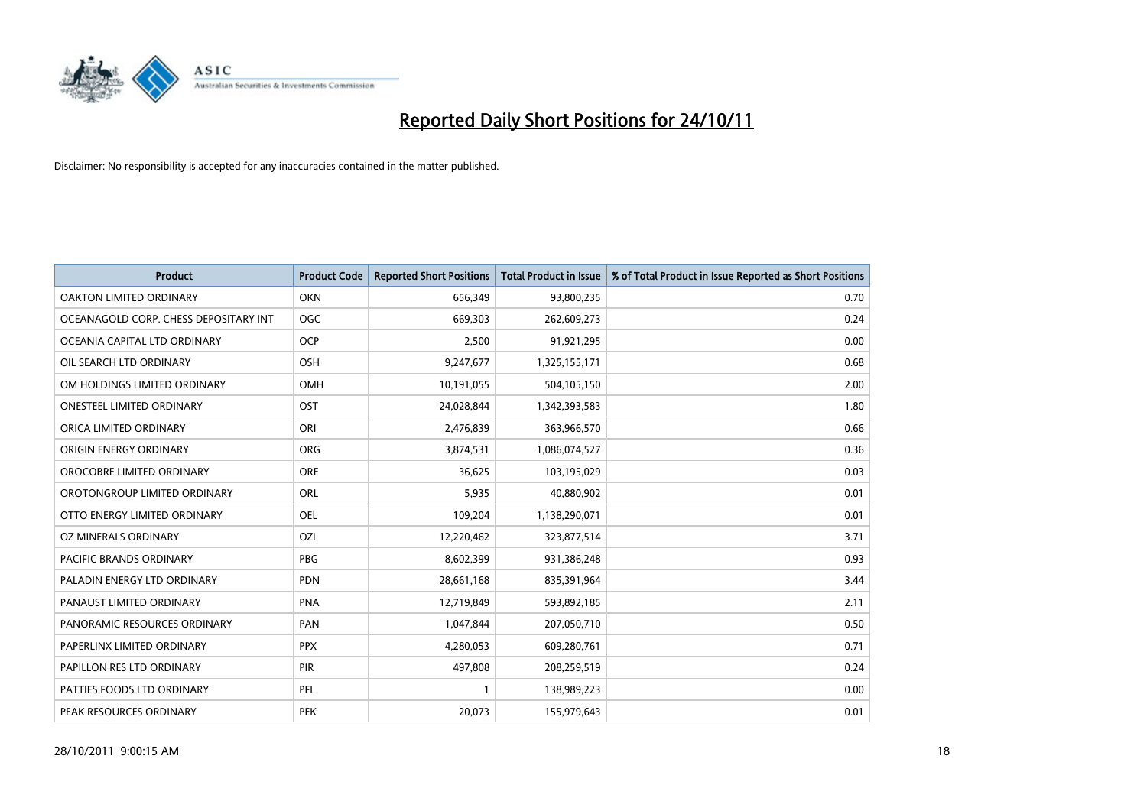

| <b>Product</b>                        | <b>Product Code</b> | <b>Reported Short Positions</b> | <b>Total Product in Issue</b> | % of Total Product in Issue Reported as Short Positions |
|---------------------------------------|---------------------|---------------------------------|-------------------------------|---------------------------------------------------------|
| <b>OAKTON LIMITED ORDINARY</b>        | <b>OKN</b>          | 656,349                         | 93,800,235                    | 0.70                                                    |
| OCEANAGOLD CORP. CHESS DEPOSITARY INT | <b>OGC</b>          | 669,303                         | 262,609,273                   | 0.24                                                    |
| OCEANIA CAPITAL LTD ORDINARY          | <b>OCP</b>          | 2,500                           | 91,921,295                    | 0.00                                                    |
| OIL SEARCH LTD ORDINARY               | <b>OSH</b>          | 9,247,677                       | 1,325,155,171                 | 0.68                                                    |
| OM HOLDINGS LIMITED ORDINARY          | OMH                 | 10,191,055                      | 504,105,150                   | 2.00                                                    |
| <b>ONESTEEL LIMITED ORDINARY</b>      | OST                 | 24,028,844                      | 1,342,393,583                 | 1.80                                                    |
| ORICA LIMITED ORDINARY                | ORI                 | 2,476,839                       | 363,966,570                   | 0.66                                                    |
| ORIGIN ENERGY ORDINARY                | <b>ORG</b>          | 3,874,531                       | 1,086,074,527                 | 0.36                                                    |
| OROCOBRE LIMITED ORDINARY             | <b>ORE</b>          | 36,625                          | 103,195,029                   | 0.03                                                    |
| OROTONGROUP LIMITED ORDINARY          | <b>ORL</b>          | 5,935                           | 40,880,902                    | 0.01                                                    |
| OTTO ENERGY LIMITED ORDINARY          | OEL                 | 109,204                         | 1,138,290,071                 | 0.01                                                    |
| OZ MINERALS ORDINARY                  | OZL                 | 12,220,462                      | 323,877,514                   | 3.71                                                    |
| PACIFIC BRANDS ORDINARY               | <b>PBG</b>          | 8,602,399                       | 931,386,248                   | 0.93                                                    |
| PALADIN ENERGY LTD ORDINARY           | <b>PDN</b>          | 28,661,168                      | 835,391,964                   | 3.44                                                    |
| PANAUST LIMITED ORDINARY              | <b>PNA</b>          | 12,719,849                      | 593,892,185                   | 2.11                                                    |
| PANORAMIC RESOURCES ORDINARY          | PAN                 | 1,047,844                       | 207,050,710                   | 0.50                                                    |
| PAPERLINX LIMITED ORDINARY            | <b>PPX</b>          | 4,280,053                       | 609,280,761                   | 0.71                                                    |
| PAPILLON RES LTD ORDINARY             | PIR                 | 497,808                         | 208,259,519                   | 0.24                                                    |
| PATTIES FOODS LTD ORDINARY            | PFL                 |                                 | 138,989,223                   | 0.00                                                    |
| PEAK RESOURCES ORDINARY               | <b>PEK</b>          | 20,073                          | 155,979,643                   | 0.01                                                    |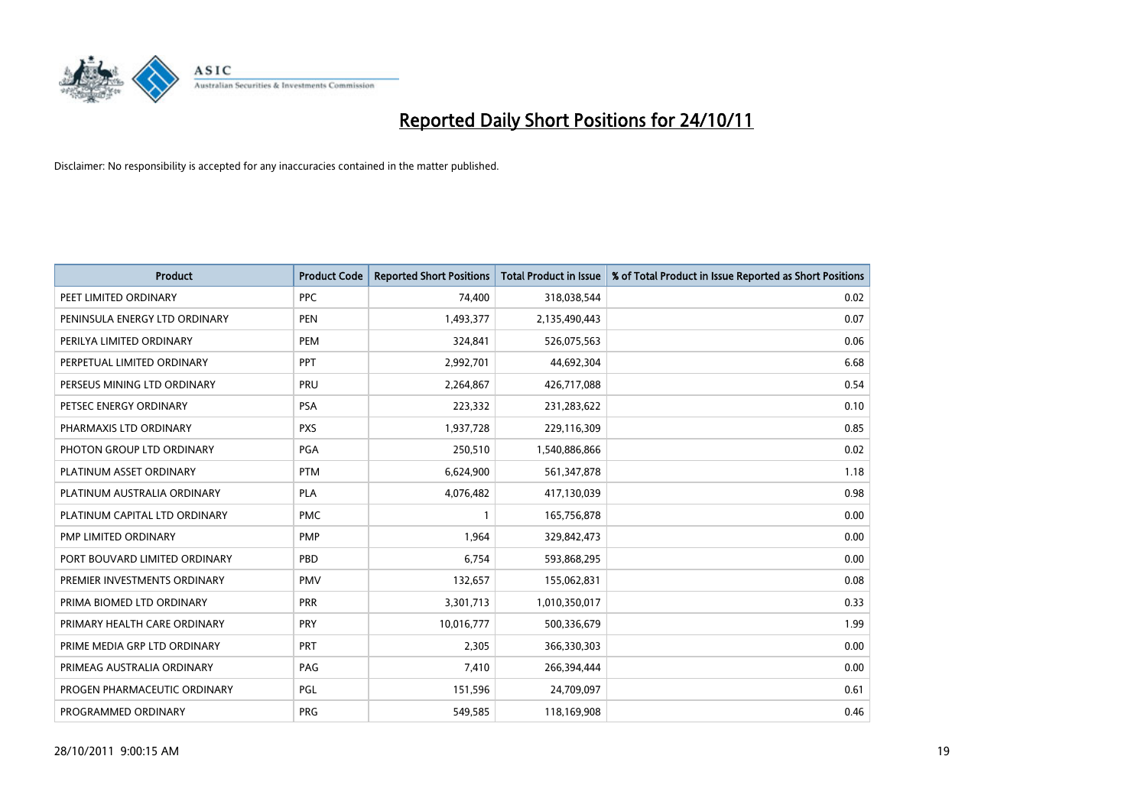

| <b>Product</b>                | <b>Product Code</b> | <b>Reported Short Positions</b> | Total Product in Issue | % of Total Product in Issue Reported as Short Positions |
|-------------------------------|---------------------|---------------------------------|------------------------|---------------------------------------------------------|
| PEET LIMITED ORDINARY         | <b>PPC</b>          | 74.400                          | 318,038,544            | 0.02                                                    |
| PENINSULA ENERGY LTD ORDINARY | <b>PEN</b>          | 1,493,377                       | 2,135,490,443          | 0.07                                                    |
| PERILYA LIMITED ORDINARY      | PEM                 | 324,841                         | 526,075,563            | 0.06                                                    |
| PERPETUAL LIMITED ORDINARY    | <b>PPT</b>          | 2,992,701                       | 44,692,304             | 6.68                                                    |
| PERSEUS MINING LTD ORDINARY   | PRU                 | 2,264,867                       | 426,717,088            | 0.54                                                    |
| PETSEC ENERGY ORDINARY        | <b>PSA</b>          | 223,332                         | 231,283,622            | 0.10                                                    |
| PHARMAXIS LTD ORDINARY        | <b>PXS</b>          | 1,937,728                       | 229,116,309            | 0.85                                                    |
| PHOTON GROUP LTD ORDINARY     | <b>PGA</b>          | 250,510                         | 1,540,886,866          | 0.02                                                    |
| PLATINUM ASSET ORDINARY       | <b>PTM</b>          | 6,624,900                       | 561,347,878            | 1.18                                                    |
| PLATINUM AUSTRALIA ORDINARY   | <b>PLA</b>          | 4,076,482                       | 417,130,039            | 0.98                                                    |
| PLATINUM CAPITAL LTD ORDINARY | <b>PMC</b>          |                                 | 165,756,878            | 0.00                                                    |
| PMP LIMITED ORDINARY          | <b>PMP</b>          | 1.964                           | 329,842,473            | 0.00                                                    |
| PORT BOUVARD LIMITED ORDINARY | PBD                 | 6,754                           | 593,868,295            | 0.00                                                    |
| PREMIER INVESTMENTS ORDINARY  | <b>PMV</b>          | 132,657                         | 155,062,831            | 0.08                                                    |
| PRIMA BIOMED LTD ORDINARY     | <b>PRR</b>          | 3,301,713                       | 1,010,350,017          | 0.33                                                    |
| PRIMARY HEALTH CARE ORDINARY  | <b>PRY</b>          | 10,016,777                      | 500,336,679            | 1.99                                                    |
| PRIME MEDIA GRP LTD ORDINARY  | <b>PRT</b>          | 2,305                           | 366,330,303            | 0.00                                                    |
| PRIMEAG AUSTRALIA ORDINARY    | PAG                 | 7,410                           | 266,394,444            | 0.00                                                    |
| PROGEN PHARMACEUTIC ORDINARY  | PGL                 | 151,596                         | 24,709,097             | 0.61                                                    |
| PROGRAMMED ORDINARY           | <b>PRG</b>          | 549,585                         | 118,169,908            | 0.46                                                    |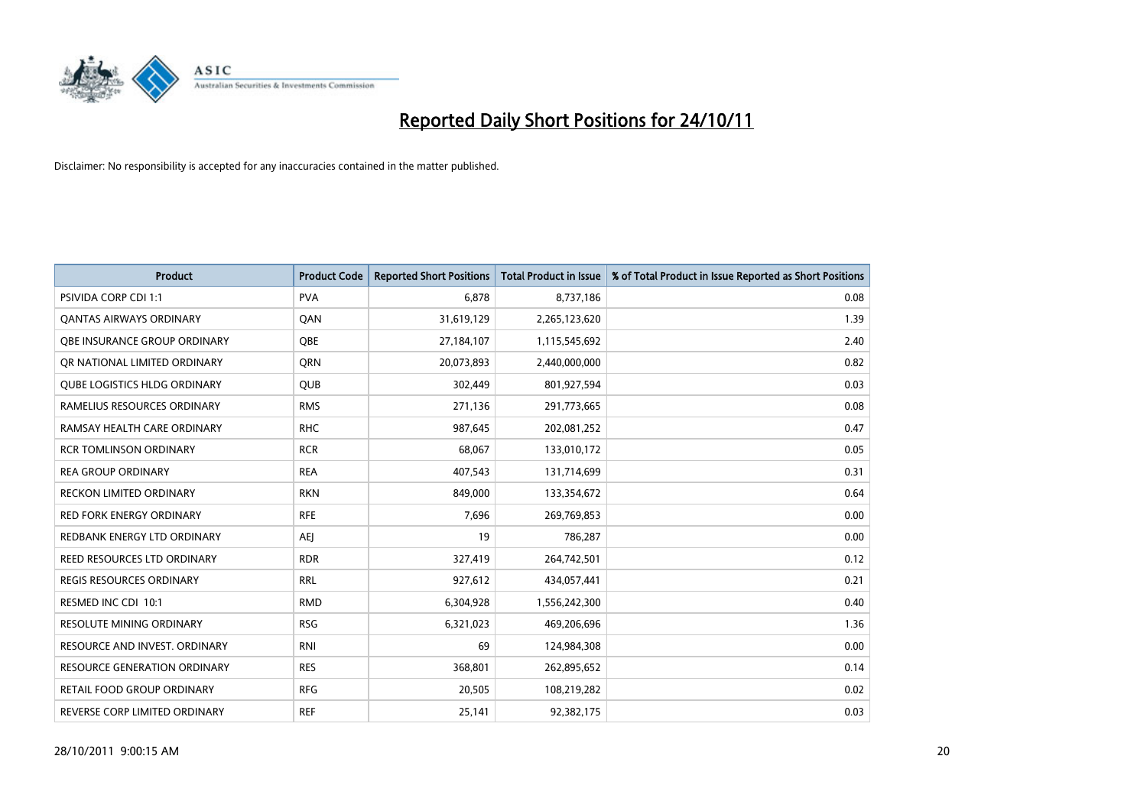

| <b>Product</b>                      | <b>Product Code</b> | <b>Reported Short Positions</b> | <b>Total Product in Issue</b> | % of Total Product in Issue Reported as Short Positions |
|-------------------------------------|---------------------|---------------------------------|-------------------------------|---------------------------------------------------------|
| <b>PSIVIDA CORP CDI 1:1</b>         | <b>PVA</b>          | 6.878                           | 8,737,186                     | 0.08                                                    |
| <b>QANTAS AIRWAYS ORDINARY</b>      | QAN                 | 31,619,129                      | 2,265,123,620                 | 1.39                                                    |
| OBE INSURANCE GROUP ORDINARY        | <b>OBE</b>          | 27,184,107                      | 1,115,545,692                 | 2.40                                                    |
| OR NATIONAL LIMITED ORDINARY        | <b>ORN</b>          | 20,073,893                      | 2,440,000,000                 | 0.82                                                    |
| <b>QUBE LOGISTICS HLDG ORDINARY</b> | <b>QUB</b>          | 302,449                         | 801,927,594                   | 0.03                                                    |
| RAMELIUS RESOURCES ORDINARY         | <b>RMS</b>          | 271,136                         | 291,773,665                   | 0.08                                                    |
| RAMSAY HEALTH CARE ORDINARY         | <b>RHC</b>          | 987,645                         | 202,081,252                   | 0.47                                                    |
| <b>RCR TOMLINSON ORDINARY</b>       | <b>RCR</b>          | 68,067                          | 133,010,172                   | 0.05                                                    |
| <b>REA GROUP ORDINARY</b>           | <b>REA</b>          | 407,543                         | 131,714,699                   | 0.31                                                    |
| <b>RECKON LIMITED ORDINARY</b>      | <b>RKN</b>          | 849,000                         | 133,354,672                   | 0.64                                                    |
| RED FORK ENERGY ORDINARY            | <b>RFE</b>          | 7,696                           | 269,769,853                   | 0.00                                                    |
| REDBANK ENERGY LTD ORDINARY         | <b>AEJ</b>          | 19                              | 786,287                       | 0.00                                                    |
| REED RESOURCES LTD ORDINARY         | <b>RDR</b>          | 327,419                         | 264,742,501                   | 0.12                                                    |
| <b>REGIS RESOURCES ORDINARY</b>     | <b>RRL</b>          | 927,612                         | 434,057,441                   | 0.21                                                    |
| RESMED INC CDI 10:1                 | <b>RMD</b>          | 6,304,928                       | 1,556,242,300                 | 0.40                                                    |
| RESOLUTE MINING ORDINARY            | <b>RSG</b>          | 6,321,023                       | 469,206,696                   | 1.36                                                    |
| RESOURCE AND INVEST. ORDINARY       | <b>RNI</b>          | 69                              | 124,984,308                   | 0.00                                                    |
| RESOURCE GENERATION ORDINARY        | <b>RES</b>          | 368,801                         | 262,895,652                   | 0.14                                                    |
| <b>RETAIL FOOD GROUP ORDINARY</b>   | <b>RFG</b>          | 20,505                          | 108,219,282                   | 0.02                                                    |
| REVERSE CORP LIMITED ORDINARY       | <b>REF</b>          | 25,141                          | 92,382,175                    | 0.03                                                    |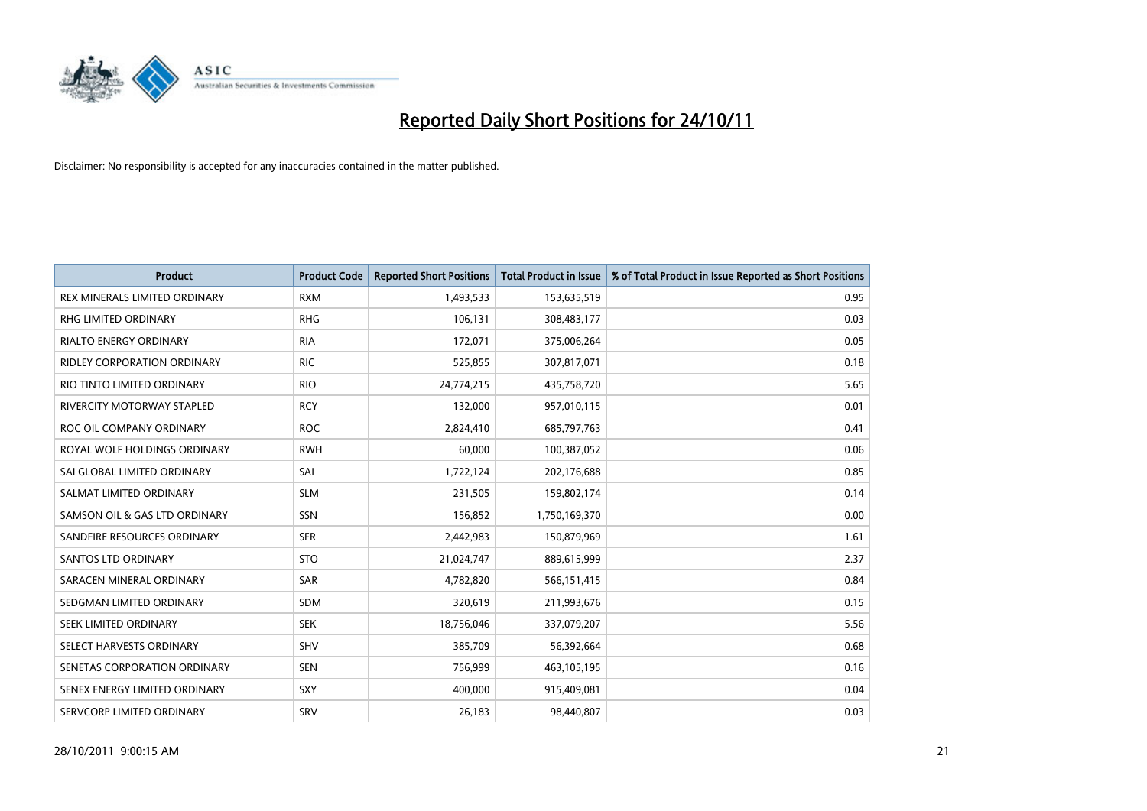

| <b>Product</b>                    | <b>Product Code</b> | <b>Reported Short Positions</b> | <b>Total Product in Issue</b> | % of Total Product in Issue Reported as Short Positions |
|-----------------------------------|---------------------|---------------------------------|-------------------------------|---------------------------------------------------------|
| REX MINERALS LIMITED ORDINARY     | <b>RXM</b>          | 1,493,533                       | 153,635,519                   | 0.95                                                    |
| RHG LIMITED ORDINARY              | <b>RHG</b>          | 106,131                         | 308,483,177                   | 0.03                                                    |
| <b>RIALTO ENERGY ORDINARY</b>     | <b>RIA</b>          | 172,071                         | 375,006,264                   | 0.05                                                    |
| RIDLEY CORPORATION ORDINARY       | <b>RIC</b>          | 525,855                         | 307,817,071                   | 0.18                                                    |
| RIO TINTO LIMITED ORDINARY        | <b>RIO</b>          | 24,774,215                      | 435,758,720                   | 5.65                                                    |
| <b>RIVERCITY MOTORWAY STAPLED</b> | <b>RCY</b>          | 132,000                         | 957,010,115                   | 0.01                                                    |
| ROC OIL COMPANY ORDINARY          | <b>ROC</b>          | 2,824,410                       | 685,797,763                   | 0.41                                                    |
| ROYAL WOLF HOLDINGS ORDINARY      | <b>RWH</b>          | 60,000                          | 100,387,052                   | 0.06                                                    |
| SAI GLOBAL LIMITED ORDINARY       | SAI                 | 1,722,124                       | 202,176,688                   | 0.85                                                    |
| SALMAT LIMITED ORDINARY           | <b>SLM</b>          | 231,505                         | 159,802,174                   | 0.14                                                    |
| SAMSON OIL & GAS LTD ORDINARY     | SSN                 | 156,852                         | 1,750,169,370                 | 0.00                                                    |
| SANDFIRE RESOURCES ORDINARY       | <b>SFR</b>          | 2,442,983                       | 150,879,969                   | 1.61                                                    |
| <b>SANTOS LTD ORDINARY</b>        | <b>STO</b>          | 21,024,747                      | 889,615,999                   | 2.37                                                    |
| SARACEN MINERAL ORDINARY          | SAR                 | 4,782,820                       | 566,151,415                   | 0.84                                                    |
| SEDGMAN LIMITED ORDINARY          | <b>SDM</b>          | 320,619                         | 211,993,676                   | 0.15                                                    |
| SEEK LIMITED ORDINARY             | <b>SEK</b>          | 18,756,046                      | 337,079,207                   | 5.56                                                    |
| SELECT HARVESTS ORDINARY          | SHV                 | 385,709                         | 56,392,664                    | 0.68                                                    |
| SENETAS CORPORATION ORDINARY      | <b>SEN</b>          | 756,999                         | 463,105,195                   | 0.16                                                    |
| SENEX ENERGY LIMITED ORDINARY     | <b>SXY</b>          | 400,000                         | 915,409,081                   | 0.04                                                    |
| SERVCORP LIMITED ORDINARY         | SRV                 | 26,183                          | 98,440,807                    | 0.03                                                    |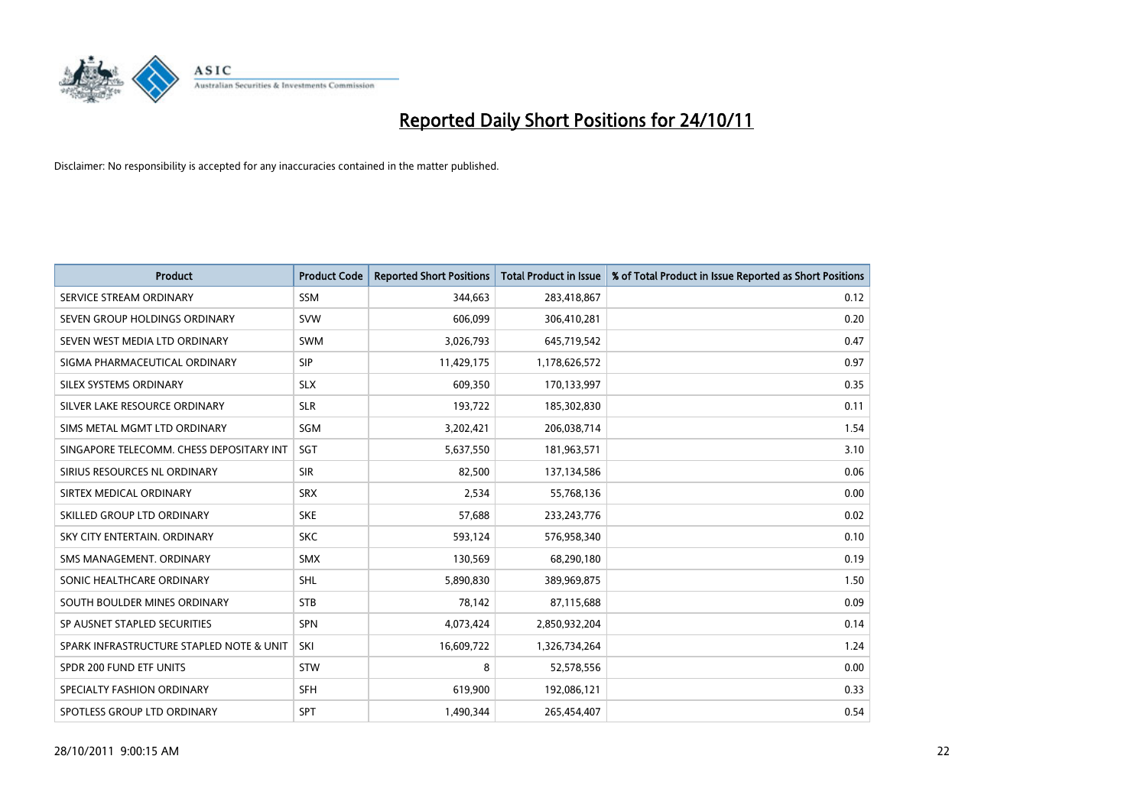

| <b>Product</b>                           | <b>Product Code</b> | <b>Reported Short Positions</b> | <b>Total Product in Issue</b> | % of Total Product in Issue Reported as Short Positions |
|------------------------------------------|---------------------|---------------------------------|-------------------------------|---------------------------------------------------------|
| SERVICE STREAM ORDINARY                  | <b>SSM</b>          | 344,663                         | 283,418,867                   | 0.12                                                    |
| SEVEN GROUP HOLDINGS ORDINARY            | <b>SVW</b>          | 606,099                         | 306,410,281                   | 0.20                                                    |
| SEVEN WEST MEDIA LTD ORDINARY            | <b>SWM</b>          | 3,026,793                       | 645,719,542                   | 0.47                                                    |
| SIGMA PHARMACEUTICAL ORDINARY            | <b>SIP</b>          | 11,429,175                      | 1,178,626,572                 | 0.97                                                    |
| SILEX SYSTEMS ORDINARY                   | <b>SLX</b>          | 609,350                         | 170,133,997                   | 0.35                                                    |
| SILVER LAKE RESOURCE ORDINARY            | <b>SLR</b>          | 193,722                         | 185,302,830                   | 0.11                                                    |
| SIMS METAL MGMT LTD ORDINARY             | SGM                 | 3,202,421                       | 206,038,714                   | 1.54                                                    |
| SINGAPORE TELECOMM. CHESS DEPOSITARY INT | <b>SGT</b>          | 5,637,550                       | 181,963,571                   | 3.10                                                    |
| SIRIUS RESOURCES NL ORDINARY             | <b>SIR</b>          | 82,500                          | 137,134,586                   | 0.06                                                    |
| SIRTEX MEDICAL ORDINARY                  | <b>SRX</b>          | 2,534                           | 55,768,136                    | 0.00                                                    |
| SKILLED GROUP LTD ORDINARY               | <b>SKE</b>          | 57,688                          | 233, 243, 776                 | 0.02                                                    |
| SKY CITY ENTERTAIN, ORDINARY             | <b>SKC</b>          | 593,124                         | 576,958,340                   | 0.10                                                    |
| SMS MANAGEMENT. ORDINARY                 | <b>SMX</b>          | 130,569                         | 68,290,180                    | 0.19                                                    |
| SONIC HEALTHCARE ORDINARY                | <b>SHL</b>          | 5,890,830                       | 389,969,875                   | 1.50                                                    |
| SOUTH BOULDER MINES ORDINARY             | <b>STB</b>          | 78,142                          | 87,115,688                    | 0.09                                                    |
| SP AUSNET STAPLED SECURITIES             | <b>SPN</b>          | 4,073,424                       | 2,850,932,204                 | 0.14                                                    |
| SPARK INFRASTRUCTURE STAPLED NOTE & UNIT | SKI                 | 16,609,722                      | 1,326,734,264                 | 1.24                                                    |
| SPDR 200 FUND ETF UNITS                  | <b>STW</b>          | 8                               | 52,578,556                    | 0.00                                                    |
| SPECIALTY FASHION ORDINARY               | <b>SFH</b>          | 619,900                         | 192,086,121                   | 0.33                                                    |
| SPOTLESS GROUP LTD ORDINARY              | <b>SPT</b>          | 1,490,344                       | 265,454,407                   | 0.54                                                    |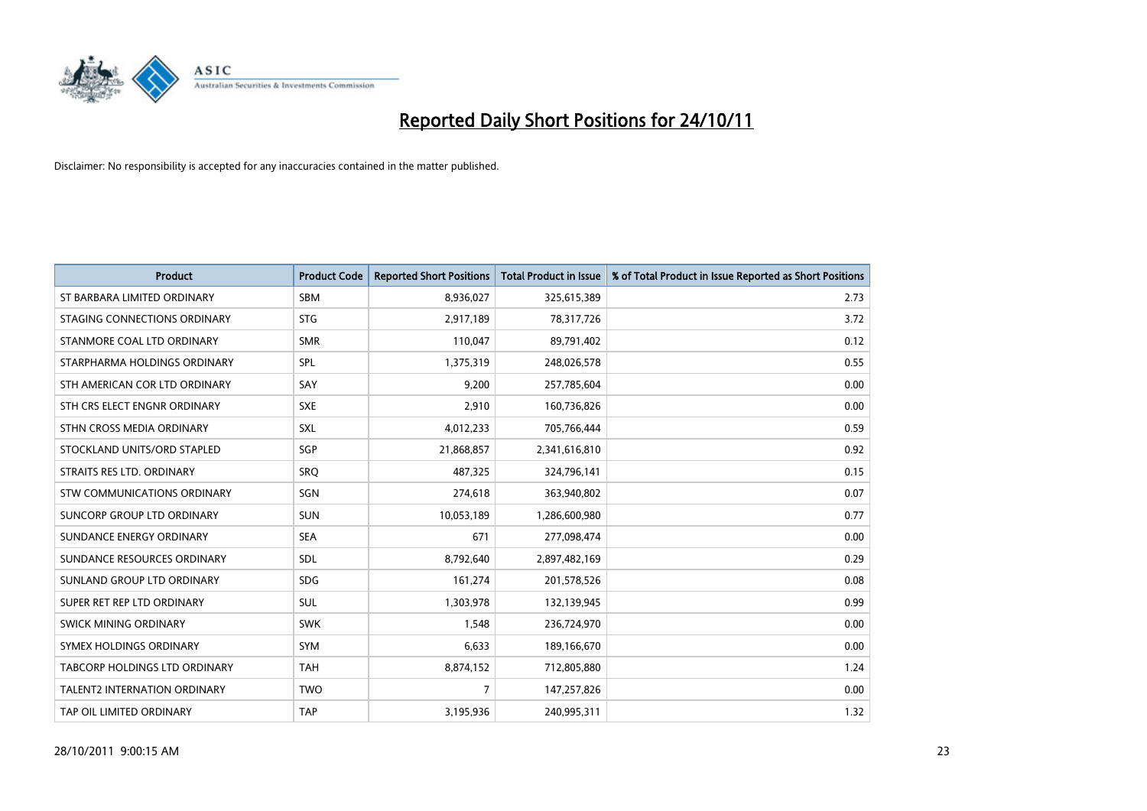

| <b>Product</b>                       | <b>Product Code</b> | <b>Reported Short Positions</b> | <b>Total Product in Issue</b> | % of Total Product in Issue Reported as Short Positions |
|--------------------------------------|---------------------|---------------------------------|-------------------------------|---------------------------------------------------------|
| ST BARBARA LIMITED ORDINARY          | <b>SBM</b>          | 8,936,027                       | 325,615,389                   | 2.73                                                    |
| STAGING CONNECTIONS ORDINARY         | <b>STG</b>          | 2,917,189                       | 78,317,726                    | 3.72                                                    |
| STANMORE COAL LTD ORDINARY           | <b>SMR</b>          | 110,047                         | 89,791,402                    | 0.12                                                    |
| STARPHARMA HOLDINGS ORDINARY         | <b>SPL</b>          | 1,375,319                       | 248,026,578                   | 0.55                                                    |
| STH AMERICAN COR LTD ORDINARY        | SAY                 | 9,200                           | 257,785,604                   | 0.00                                                    |
| STH CRS ELECT ENGNR ORDINARY         | <b>SXE</b>          | 2,910                           | 160,736,826                   | 0.00                                                    |
| STHN CROSS MEDIA ORDINARY            | <b>SXL</b>          | 4,012,233                       | 705,766,444                   | 0.59                                                    |
| STOCKLAND UNITS/ORD STAPLED          | <b>SGP</b>          | 21,868,857                      | 2,341,616,810                 | 0.92                                                    |
| STRAITS RES LTD. ORDINARY            | SRO                 | 487,325                         | 324,796,141                   | 0.15                                                    |
| STW COMMUNICATIONS ORDINARY          | SGN                 | 274,618                         | 363,940,802                   | 0.07                                                    |
| SUNCORP GROUP LTD ORDINARY           | <b>SUN</b>          | 10,053,189                      | 1,286,600,980                 | 0.77                                                    |
| SUNDANCE ENERGY ORDINARY             | <b>SEA</b>          | 671                             | 277,098,474                   | 0.00                                                    |
| SUNDANCE RESOURCES ORDINARY          | <b>SDL</b>          | 8,792,640                       | 2,897,482,169                 | 0.29                                                    |
| SUNLAND GROUP LTD ORDINARY           | <b>SDG</b>          | 161,274                         | 201,578,526                   | 0.08                                                    |
| SUPER RET REP LTD ORDINARY           | <b>SUL</b>          | 1,303,978                       | 132,139,945                   | 0.99                                                    |
| SWICK MINING ORDINARY                | <b>SWK</b>          | 1,548                           | 236,724,970                   | 0.00                                                    |
| SYMEX HOLDINGS ORDINARY              | <b>SYM</b>          | 6,633                           | 189,166,670                   | 0.00                                                    |
| <b>TABCORP HOLDINGS LTD ORDINARY</b> | <b>TAH</b>          | 8,874,152                       | 712,805,880                   | 1.24                                                    |
| <b>TALENT2 INTERNATION ORDINARY</b>  | <b>TWO</b>          | 7                               | 147,257,826                   | 0.00                                                    |
| TAP OIL LIMITED ORDINARY             | <b>TAP</b>          | 3,195,936                       | 240,995,311                   | 1.32                                                    |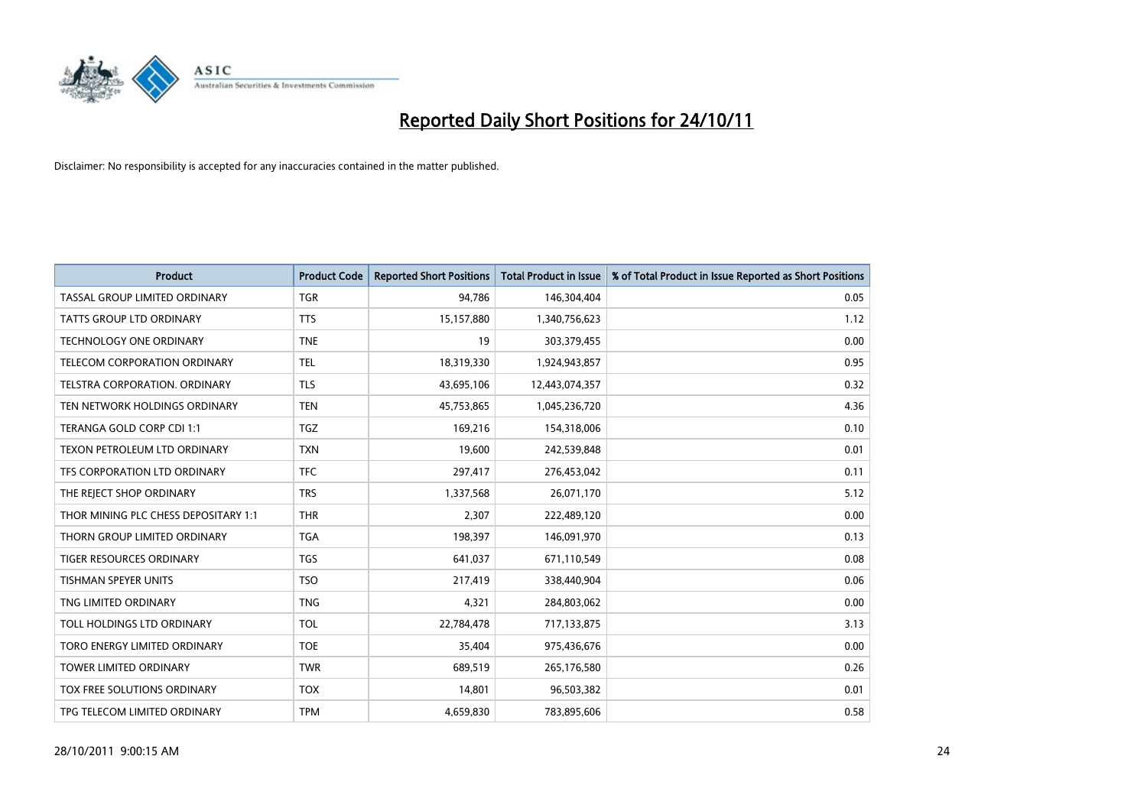

| <b>Product</b>                       | <b>Product Code</b> | <b>Reported Short Positions</b> | <b>Total Product in Issue</b> | % of Total Product in Issue Reported as Short Positions |
|--------------------------------------|---------------------|---------------------------------|-------------------------------|---------------------------------------------------------|
| TASSAL GROUP LIMITED ORDINARY        | <b>TGR</b>          | 94,786                          | 146,304,404                   | 0.05                                                    |
| <b>TATTS GROUP LTD ORDINARY</b>      | <b>TTS</b>          | 15,157,880                      | 1,340,756,623                 | 1.12                                                    |
| <b>TECHNOLOGY ONE ORDINARY</b>       | <b>TNE</b>          | 19                              | 303,379,455                   | 0.00                                                    |
| TELECOM CORPORATION ORDINARY         | <b>TEL</b>          | 18,319,330                      | 1,924,943,857                 | 0.95                                                    |
| <b>TELSTRA CORPORATION, ORDINARY</b> | <b>TLS</b>          | 43,695,106                      | 12,443,074,357                | 0.32                                                    |
| TEN NETWORK HOLDINGS ORDINARY        | <b>TEN</b>          | 45,753,865                      | 1,045,236,720                 | 4.36                                                    |
| TERANGA GOLD CORP CDI 1:1            | <b>TGZ</b>          | 169.216                         | 154,318,006                   | 0.10                                                    |
| TEXON PETROLEUM LTD ORDINARY         | <b>TXN</b>          | 19,600                          | 242,539,848                   | 0.01                                                    |
| TFS CORPORATION LTD ORDINARY         | <b>TFC</b>          | 297,417                         | 276,453,042                   | 0.11                                                    |
| THE REJECT SHOP ORDINARY             | <b>TRS</b>          | 1,337,568                       | 26,071,170                    | 5.12                                                    |
| THOR MINING PLC CHESS DEPOSITARY 1:1 | <b>THR</b>          | 2,307                           | 222,489,120                   | 0.00                                                    |
| THORN GROUP LIMITED ORDINARY         | <b>TGA</b>          | 198,397                         | 146,091,970                   | 0.13                                                    |
| <b>TIGER RESOURCES ORDINARY</b>      | <b>TGS</b>          | 641,037                         | 671,110,549                   | 0.08                                                    |
| <b>TISHMAN SPEYER UNITS</b>          | <b>TSO</b>          | 217,419                         | 338,440,904                   | 0.06                                                    |
| TNG LIMITED ORDINARY                 | <b>TNG</b>          | 4,321                           | 284,803,062                   | 0.00                                                    |
| TOLL HOLDINGS LTD ORDINARY           | <b>TOL</b>          | 22,784,478                      | 717,133,875                   | 3.13                                                    |
| TORO ENERGY LIMITED ORDINARY         | <b>TOE</b>          | 35,404                          | 975,436,676                   | 0.00                                                    |
| TOWER LIMITED ORDINARY               | <b>TWR</b>          | 689,519                         | 265,176,580                   | 0.26                                                    |
| TOX FREE SOLUTIONS ORDINARY          | <b>TOX</b>          | 14,801                          | 96,503,382                    | 0.01                                                    |
| TPG TELECOM LIMITED ORDINARY         | <b>TPM</b>          | 4,659,830                       | 783,895,606                   | 0.58                                                    |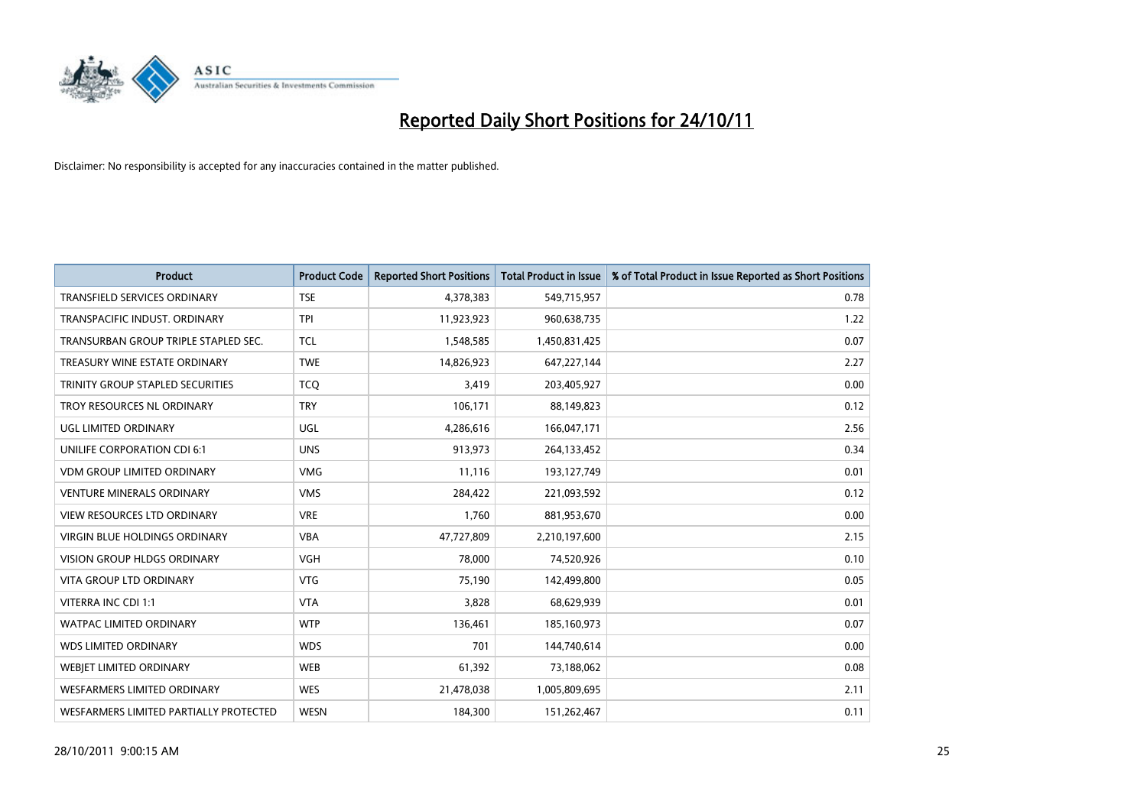

| <b>Product</b>                          | <b>Product Code</b> | <b>Reported Short Positions</b> | <b>Total Product in Issue</b> | % of Total Product in Issue Reported as Short Positions |
|-----------------------------------------|---------------------|---------------------------------|-------------------------------|---------------------------------------------------------|
| <b>TRANSFIELD SERVICES ORDINARY</b>     | <b>TSE</b>          | 4,378,383                       | 549,715,957                   | 0.78                                                    |
| TRANSPACIFIC INDUST. ORDINARY           | <b>TPI</b>          | 11,923,923                      | 960,638,735                   | 1.22                                                    |
| TRANSURBAN GROUP TRIPLE STAPLED SEC.    | <b>TCL</b>          | 1,548,585                       | 1,450,831,425                 | 0.07                                                    |
| TREASURY WINE ESTATE ORDINARY           | <b>TWE</b>          | 14,826,923                      | 647,227,144                   | 2.27                                                    |
| <b>TRINITY GROUP STAPLED SECURITIES</b> | <b>TCO</b>          | 3,419                           | 203,405,927                   | 0.00                                                    |
| TROY RESOURCES NL ORDINARY              | <b>TRY</b>          | 106,171                         | 88,149,823                    | 0.12                                                    |
| UGL LIMITED ORDINARY                    | UGL                 | 4,286,616                       | 166,047,171                   | 2.56                                                    |
| UNILIFE CORPORATION CDI 6:1             | <b>UNS</b>          | 913,973                         | 264,133,452                   | 0.34                                                    |
| <b>VDM GROUP LIMITED ORDINARY</b>       | <b>VMG</b>          | 11,116                          | 193,127,749                   | 0.01                                                    |
| <b>VENTURE MINERALS ORDINARY</b>        | <b>VMS</b>          | 284,422                         | 221,093,592                   | 0.12                                                    |
| VIEW RESOURCES LTD ORDINARY             | <b>VRE</b>          | 1,760                           | 881,953,670                   | 0.00                                                    |
| <b>VIRGIN BLUE HOLDINGS ORDINARY</b>    | <b>VBA</b>          | 47,727,809                      | 2,210,197,600                 | 2.15                                                    |
| VISION GROUP HLDGS ORDINARY             | <b>VGH</b>          | 78,000                          | 74,520,926                    | 0.10                                                    |
| <b>VITA GROUP LTD ORDINARY</b>          | <b>VTG</b>          | 75,190                          | 142,499,800                   | 0.05                                                    |
| VITERRA INC CDI 1:1                     | <b>VTA</b>          | 3,828                           | 68,629,939                    | 0.01                                                    |
| <b>WATPAC LIMITED ORDINARY</b>          | <b>WTP</b>          | 136,461                         | 185,160,973                   | 0.07                                                    |
| <b>WDS LIMITED ORDINARY</b>             | <b>WDS</b>          | 701                             | 144,740,614                   | 0.00                                                    |
| WEBJET LIMITED ORDINARY                 | <b>WEB</b>          | 61,392                          | 73,188,062                    | 0.08                                                    |
| WESFARMERS LIMITED ORDINARY             | <b>WES</b>          | 21,478,038                      | 1,005,809,695                 | 2.11                                                    |
| WESFARMERS LIMITED PARTIALLY PROTECTED  | <b>WESN</b>         | 184,300                         | 151,262,467                   | 0.11                                                    |